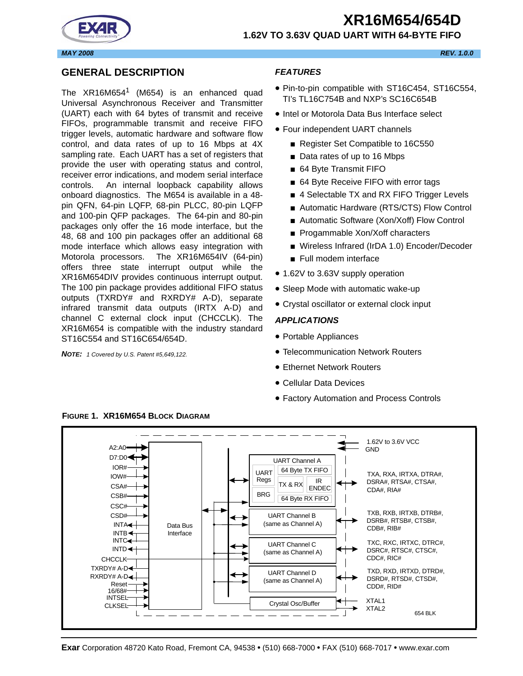# **XR16M654/654D 1.62V TO 3.63V QUAD UART WITH 64-BYTE FIFO**



# <span id="page-0-0"></span>**GENERAL DESCRIPTION**

The  $XR16M654$ <sup>1</sup> (M654) is an enhanced quad Universal Asynchronous Receiver and Transmitter (UART) each with 64 bytes of transmit and receive FIFOs, programmable transmit and receive FIFO trigger levels, automatic hardware and software flow control, and data rates of up to 16 Mbps at 4X sampling rate. Each UART has a set of registers that provide the user with operating status and control, receiver error indications, and modem serial interface controls. An internal loopback capability allows onboard diagnostics. The M654 is available in a 48 pin QFN, 64-pin LQFP, 68-pin PLCC, 80-pin LQFP and 100-pin QFP packages. The 64-pin and 80-pin packages only offer the 16 mode interface, but the 48, 68 and 100 pin packages offer an additional 68 mode interface which allows easy integration with Motorola processors. The XR16M654IV (64-pin) offers three state interrupt output while the XR16M654DIV provides continuous interrupt output. The 100 pin package provides additional FIFO status outputs (TXRDY# and RXRDY# A-D), separate infrared transmit data outputs (IRTX A-D) and channel C external clock input (CHCCLK). The XR16M654 is compatible with the industry standard ST16C554 and ST16C654/654D.

*NOTE: 1 Covered by U.S. Patent #5,649,122.*

# <span id="page-0-1"></span>*FEATURES*

- Pin-to-pin compatible with ST16C454, ST16C554, TI's TL16C754B and NXP's SC16C654B
- Intel or Motorola Data Bus Interface select
- Four independent UART channels
	- Register Set Compatible to 16C550
	- Data rates of up to 16 Mbps
	- 64 Byte Transmit FIFO
	- 64 Byte Receive FIFO with error tags
	- 4 Selectable TX and RX FIFO Trigger Levels
	- Automatic Hardware (RTS/CTS) Flow Control
	- Automatic Software (Xon/Xoff) Flow Control
	- Progammable Xon/Xoff characters
	- Wireless Infrared (IrDA 1.0) Encoder/Decoder
	- Full modem interface
- 1.62V to 3.63V supply operation
- Sleep Mode with automatic wake-up
- Crystal oscillator or external clock input

# <span id="page-0-2"></span>*APPLICATIONS*

- Portable Appliances
- Telecommunication Network Routers
- Ethernet Network Routers
- Cellular Data Devices
- Factory Automation and Process Controls



# <span id="page-0-3"></span>**FIGURE 1. XR16M654 BLOCK DIAGRAM**

*MAY 2008 REV. 1.0.0*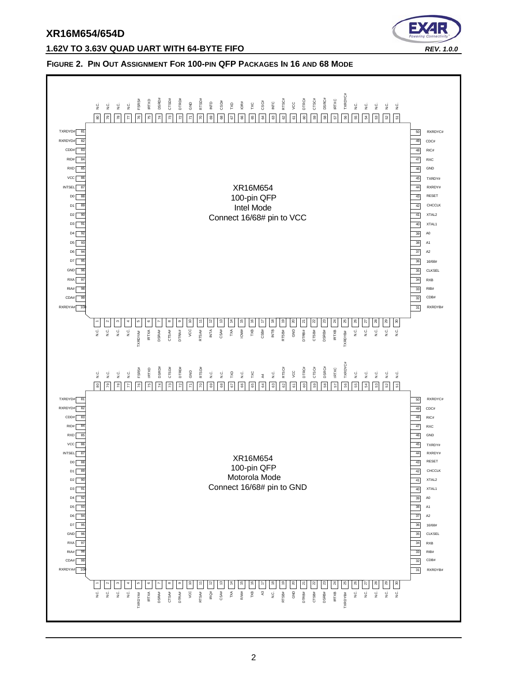

#### **1.62V TO 3.63V QUAD UART WITH 64-BYTE FIFO** *REV. 1.0.0*

#### <span id="page-1-0"></span>**FIGURE 2. PIN OUT ASSIGNMENT FOR 100-PIN QFP PACKAGES IN 16 AND 68 MODE**

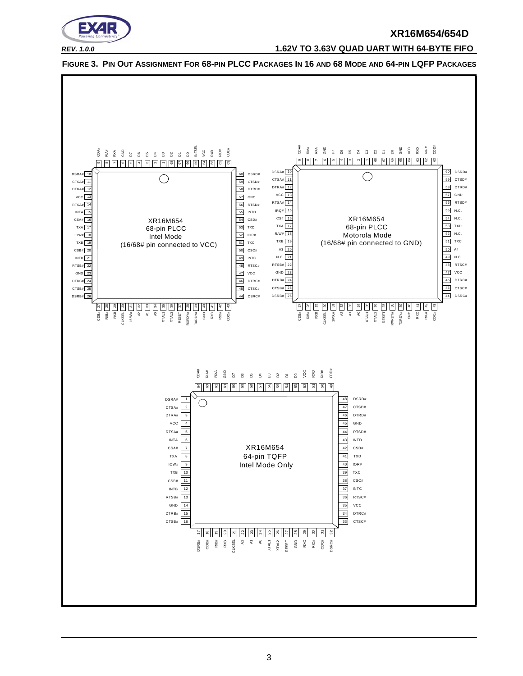

*REV. 1.0.0* **1.62V TO 3.63V QUAD UART WITH 64-BYTE FIFO**



<span id="page-2-0"></span>**FIGURE 3. PIN OUT ASSIGNMENT FOR 68-PIN PLCC PACKAGES IN 16 AND 68 MODE AND 64-PIN LQFP PACKAGES**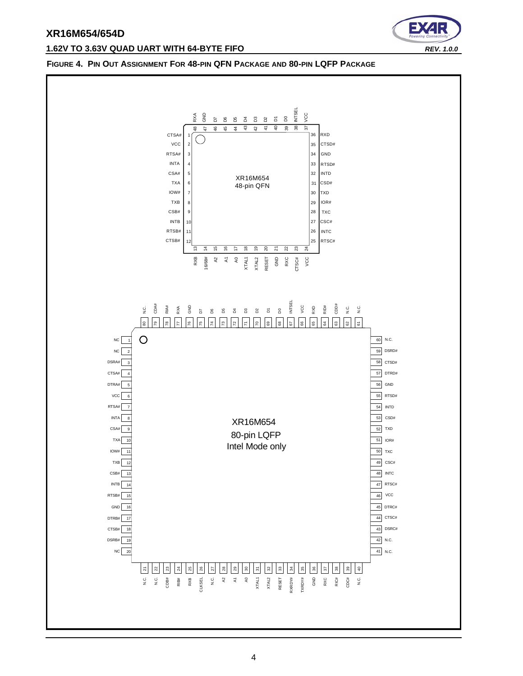#### **1.62V TO 3.63V QUAD UART WITH 64-BYTE FIFO** *REV. 1.0.0*



#### <span id="page-3-0"></span>**FIGURE 4. PIN OUT ASSIGNMENT FOR 48-PIN QFN PACKAGE AND 80-PIN LQFP PACKAGE**

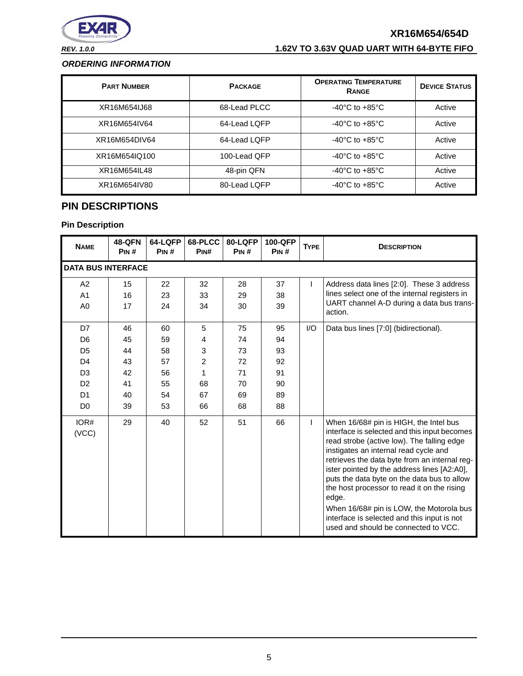

# *REV. 1.0.0* **1.62V TO 3.63V QUAD UART WITH 64-BYTE FIFO**

#### <span id="page-4-1"></span>*ORDERING INFORMATION*

| <b>PART NUMBER</b> | <b>PACKAGE</b> | <b>OPERATING TEMPERATURE</b><br><b>RANGE</b> | <b>DEVICE STATUS</b> |
|--------------------|----------------|----------------------------------------------|----------------------|
| XR16M654IJ68       | 68-Lead PLCC   | $-40^{\circ}$ C to $+85^{\circ}$ C           | Active               |
| XR16M654IV64       | 64-Lead LQFP   | $-40^{\circ}$ C to $+85^{\circ}$ C           | Active               |
| XR16M654DIV64      | 64-Lead LQFP   | $-40^{\circ}$ C to $+85^{\circ}$ C           | Active               |
| XR16M654IQ100      | 100-Lead QFP   | $-40^{\circ}$ C to $+85^{\circ}$ C           | Active               |
| XR16M654IL48       | 48-pin QFN     | $-40^{\circ}$ C to $+85^{\circ}$ C           | Active               |
| XR16M654IV80       | 80-Lead LOFP   | $-40^{\circ}$ C to $+85^{\circ}$ C           | Active               |

# <span id="page-4-0"></span>**PIN DESCRIPTIONS**

| <b>NAME</b>                                                                                                                      | <b>48-QFN</b><br>PIN#                        | 64-LQFP<br>PIN#                              | 68-PLCC<br>PINH                                      | 80-LQFP<br>PIN#                              | 100-QFP<br>PIN#                              | <b>TYPE</b> | <b>DESCRIPTION</b>                                                                                                                                                                                                                                                                                                                                                                                                                                                                                                      |
|----------------------------------------------------------------------------------------------------------------------------------|----------------------------------------------|----------------------------------------------|------------------------------------------------------|----------------------------------------------|----------------------------------------------|-------------|-------------------------------------------------------------------------------------------------------------------------------------------------------------------------------------------------------------------------------------------------------------------------------------------------------------------------------------------------------------------------------------------------------------------------------------------------------------------------------------------------------------------------|
| <b>DATA BUS INTERFACE</b>                                                                                                        |                                              |                                              |                                                      |                                              |                                              |             |                                                                                                                                                                                                                                                                                                                                                                                                                                                                                                                         |
| A <sub>2</sub><br>A1<br>A <sub>0</sub>                                                                                           | 15<br>16<br>17                               | 22<br>23<br>24                               | 32<br>33<br>34                                       | 28<br>29<br>30                               | 37<br>38<br>39                               | L           | Address data lines [2:0]. These 3 address<br>lines select one of the internal registers in<br>UART channel A-D during a data bus trans-<br>action.                                                                                                                                                                                                                                                                                                                                                                      |
| D7<br>D <sub>6</sub><br>D <sub>5</sub><br>D <sub>4</sub><br>D <sub>3</sub><br>D <sub>2</sub><br>D <sub>1</sub><br>D <sub>0</sub> | 46<br>45<br>44<br>43<br>42<br>41<br>40<br>39 | 60<br>59<br>58<br>57<br>56<br>55<br>54<br>53 | 5<br>4<br>3<br>$\overline{2}$<br>1<br>68<br>67<br>66 | 75<br>74<br>73<br>72<br>71<br>70<br>69<br>68 | 95<br>94<br>93<br>92<br>91<br>90<br>89<br>88 | 1/O         | Data bus lines [7:0] (bidirectional).                                                                                                                                                                                                                                                                                                                                                                                                                                                                                   |
| IOR#<br>(VCC)                                                                                                                    | 29                                           | 40                                           | 52                                                   | 51                                           | 66                                           | L           | When 16/68# pin is HIGH, the Intel bus<br>interface is selected and this input becomes<br>read strobe (active low). The falling edge<br>instigates an internal read cycle and<br>retrieves the data byte from an internal reg-<br>ister pointed by the address lines [A2:A0],<br>puts the data byte on the data bus to allow<br>the host processor to read it on the rising<br>edge.<br>When 16/68# pin is LOW, the Motorola bus<br>interface is selected and this input is not<br>used and should be connected to VCC. |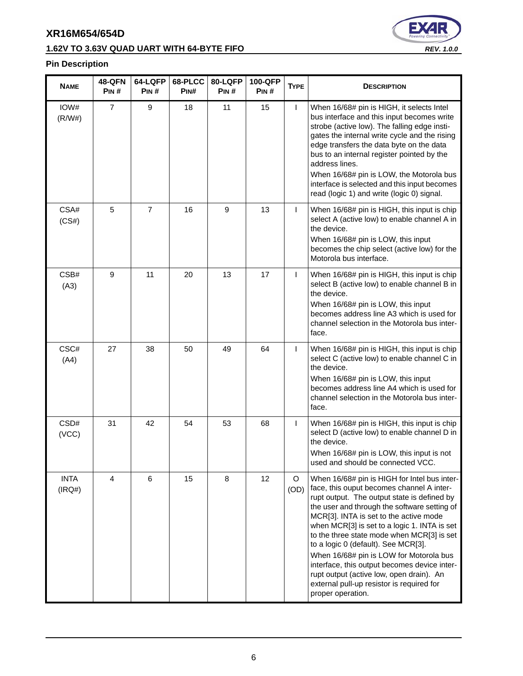# **1.62V TO 3.63V QUAD UART WITH 64-BYTE FIFO** *REV. 1.0.0*



| <b>NAME</b>           | <b>48-QFN</b><br>PIN# | 64-LQFP<br>PIN# | 68-PLCC<br>PIN# | 80-LQFP<br>Pin # | 100-QFP<br>PIN# | <b>TYPE</b>     | <b>DESCRIPTION</b>                                                                                                                                                                                                                                                                                                                                                                                                                                                                                                                                                               |
|-----------------------|-----------------------|-----------------|-----------------|------------------|-----------------|-----------------|----------------------------------------------------------------------------------------------------------------------------------------------------------------------------------------------------------------------------------------------------------------------------------------------------------------------------------------------------------------------------------------------------------------------------------------------------------------------------------------------------------------------------------------------------------------------------------|
| IOW#<br>(R/W#)        | $\overline{7}$        | 9               | 18              | 11               | 15              | $\mathsf{I}$    | When 16/68# pin is HIGH, it selects Intel<br>bus interface and this input becomes write<br>strobe (active low). The falling edge insti-<br>gates the internal write cycle and the rising<br>edge transfers the data byte on the data<br>bus to an internal register pointed by the<br>address lines.<br>When 16/68# pin is LOW, the Motorola bus<br>interface is selected and this input becomes<br>read (logic 1) and write (logic 0) signal.                                                                                                                                   |
| CSA#<br>(CS#)         | 5                     | $\overline{7}$  | 16              | 9                | 13              | L               | When 16/68# pin is HIGH, this input is chip<br>select A (active low) to enable channel A in<br>the device.<br>When 16/68# pin is LOW, this input<br>becomes the chip select (active low) for the<br>Motorola bus interface.                                                                                                                                                                                                                                                                                                                                                      |
| CSB#<br>(A3)          | 9                     | 11              | 20              | 13               | 17              | T               | When 16/68# pin is HIGH, this input is chip<br>select B (active low) to enable channel B in<br>the device.<br>When 16/68# pin is LOW, this input<br>becomes address line A3 which is used for<br>channel selection in the Motorola bus inter-<br>face.                                                                                                                                                                                                                                                                                                                           |
| CSC#<br>(A4)          | 27                    | 38              | 50              | 49               | 64              | $\mathsf{I}$    | When 16/68# pin is HIGH, this input is chip<br>select C (active low) to enable channel C in<br>the device.<br>When 16/68# pin is LOW, this input<br>becomes address line A4 which is used for<br>channel selection in the Motorola bus inter-<br>face.                                                                                                                                                                                                                                                                                                                           |
| CSD#<br>(VCC)         | 31                    | 42              | 54              | 53               | 68              | L               | When 16/68# pin is HIGH, this input is chip<br>select D (active low) to enable channel D in<br>the device.<br>When 16/68# pin is LOW, this input is not<br>used and should be connected VCC.                                                                                                                                                                                                                                                                                                                                                                                     |
| <b>INTA</b><br>(IRQ#) | 4                     | 6               | 15              | 8                | 12              | $\circ$<br>(OD) | When 16/68# pin is HIGH for Intel bus inter-<br>face, this ouput becomes channel A inter-<br>rupt output. The output state is defined by<br>the user and through the software setting of<br>MCR[3]. INTA is set to the active mode<br>when MCR[3] is set to a logic 1. INTA is set<br>to the three state mode when MCR[3] is set<br>to a logic 0 (default). See MCR[3].<br>When 16/68# pin is LOW for Motorola bus<br>interface, this output becomes device inter-<br>rupt output (active low, open drain). An<br>external pull-up resistor is required for<br>proper operation. |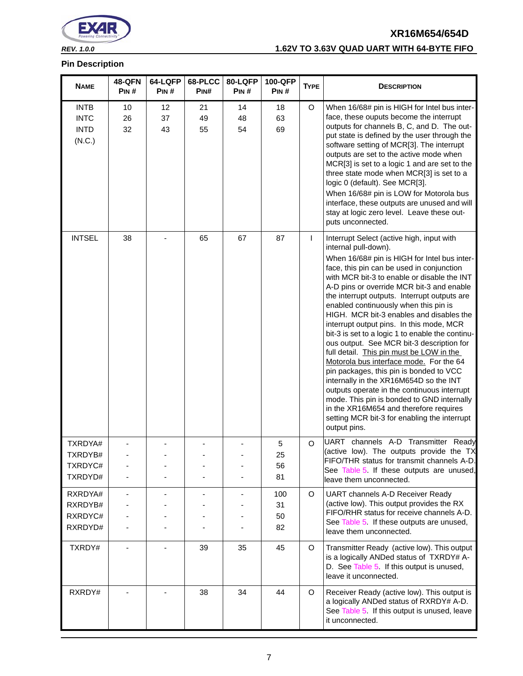

# *REV. 1.0.0* **1.62V TO 3.63V QUAD UART WITH 64-BYTE FIFO**

| <b>NAME</b>                                         | <b>48-QFN</b><br>PIN# | 64-LQFP<br>PIN# | 68-PLCC<br>PIN# | 80-LQFP<br>PIN# | 100-QFP<br>PIN#       | <b>TYPE</b> | <b>DESCRIPTION</b>                                                                                                                                                                                                                                                                                                                                                                                                                                                                                                                                                                                                                                                                                                                                                                                                                                                                                                              |
|-----------------------------------------------------|-----------------------|-----------------|-----------------|-----------------|-----------------------|-------------|---------------------------------------------------------------------------------------------------------------------------------------------------------------------------------------------------------------------------------------------------------------------------------------------------------------------------------------------------------------------------------------------------------------------------------------------------------------------------------------------------------------------------------------------------------------------------------------------------------------------------------------------------------------------------------------------------------------------------------------------------------------------------------------------------------------------------------------------------------------------------------------------------------------------------------|
| <b>INTB</b><br><b>INTC</b><br><b>INTD</b><br>(N.C.) | 10<br>26<br>32        | 12<br>37<br>43  | 21<br>49<br>55  | 14<br>48<br>54  | 18<br>63<br>69        | O           | When 16/68# pin is HIGH for Intel bus inter-<br>face, these ouputs become the interrupt<br>outputs for channels B, C, and D. The out-<br>put state is defined by the user through the<br>software setting of MCR[3]. The interrupt<br>outputs are set to the active mode when<br>MCR[3] is set to a logic 1 and are set to the<br>three state mode when MCR[3] is set to a<br>logic 0 (default). See MCR[3].<br>When 16/68# pin is LOW for Motorola bus<br>interface, these outputs are unused and will<br>stay at logic zero level. Leave these out-<br>puts unconnected.                                                                                                                                                                                                                                                                                                                                                      |
| <b>INTSEL</b>                                       | 38                    |                 | 65              | 67              | 87                    | L           | Interrupt Select (active high, input with<br>internal pull-down).<br>When 16/68# pin is HIGH for Intel bus inter-<br>face, this pin can be used in conjunction<br>with MCR bit-3 to enable or disable the INT<br>A-D pins or override MCR bit-3 and enable<br>the interrupt outputs. Interrupt outputs are<br>enabled continuously when this pin is<br>HIGH. MCR bit-3 enables and disables the<br>interrupt output pins. In this mode, MCR<br>bit-3 is set to a logic 1 to enable the continu-<br>ous output. See MCR bit-3 description for<br>full detail. This pin must be LOW in the<br>Motorola bus interface mode. For the 64<br>pin packages, this pin is bonded to VCC<br>internally in the XR16M654D so the INT<br>outputs operate in the continuous interrupt<br>mode. This pin is bonded to GND internally<br>in the XR16M654 and therefore requires<br>setting MCR bit-3 for enabling the interrupt<br>output pins. |
| TXRDYA#<br>TXRDYB#<br>TXRDYC#<br>TXRDYD#            |                       |                 |                 |                 | 5<br>25<br>56<br>81   | $\circ$     | UART channels A-D Transmitter Ready<br>(active low). The outputs provide the TX<br>FIFO/THR status for transmit channels A-D.<br>See Table 5. If these outputs are unused,<br>leave them unconnected.                                                                                                                                                                                                                                                                                                                                                                                                                                                                                                                                                                                                                                                                                                                           |
| RXRDYA#<br>RXRDYB#<br>RXRDYC#<br>RXRDYD#            |                       |                 |                 |                 | 100<br>31<br>50<br>82 | O           | UART channels A-D Receiver Ready<br>(active low). This output provides the RX<br>FIFO/RHR status for receive channels A-D.<br>See Table 5 If these outputs are unused,<br>leave them unconnected.                                                                                                                                                                                                                                                                                                                                                                                                                                                                                                                                                                                                                                                                                                                               |
| TXRDY#                                              |                       |                 | 39              | 35              | 45                    | $\circ$     | Transmitter Ready (active low). This output<br>is a logically ANDed status of TXRDY# A-<br>D. See Table 5. If this output is unused,<br>leave it unconnected.                                                                                                                                                                                                                                                                                                                                                                                                                                                                                                                                                                                                                                                                                                                                                                   |
| RXRDY#                                              |                       |                 | 38              | 34              | 44                    | $\circ$     | Receiver Ready (active low). This output is<br>a logically ANDed status of RXRDY# A-D.<br>See Table 5 If this output is unused, leave<br>it unconnected.                                                                                                                                                                                                                                                                                                                                                                                                                                                                                                                                                                                                                                                                                                                                                                        |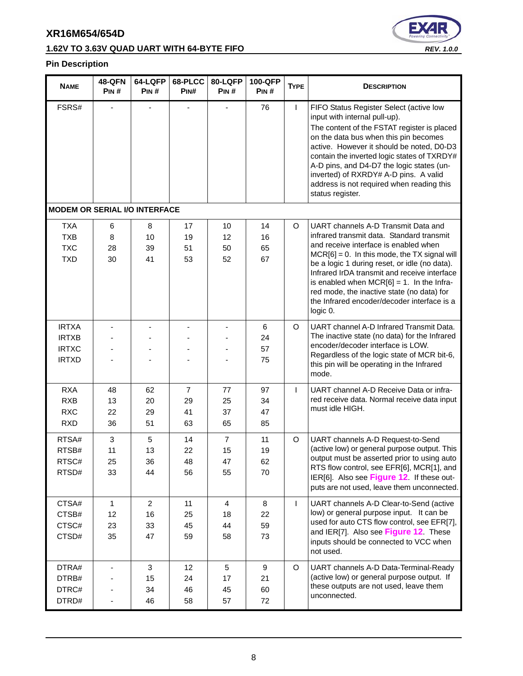# **1.62V TO 3.63V QUAD UART WITH 64-BYTE FIFO** *REV. 1.0.0*



| <b>NAME</b>                                                  | <b>48-QFN</b><br>PIN# | 64-LQFP<br>PIN#                  | 68-PLCC<br>PINH                  | 80-LQFP<br>PIN#                  | 100-QFP<br>PIN#      | <b>TYPE</b> | <b>DESCRIPTION</b>                                                                                                                                                                                                                                                                                                                                                                                                                     |
|--------------------------------------------------------------|-----------------------|----------------------------------|----------------------------------|----------------------------------|----------------------|-------------|----------------------------------------------------------------------------------------------------------------------------------------------------------------------------------------------------------------------------------------------------------------------------------------------------------------------------------------------------------------------------------------------------------------------------------------|
| FSRS#                                                        |                       |                                  |                                  |                                  | 76                   | L           | FIFO Status Register Select (active low<br>input with internal pull-up).<br>The content of the FSTAT register is placed<br>on the data bus when this pin becomes<br>active. However it should be noted, D0-D3<br>contain the inverted logic states of TXRDY#<br>A-D pins, and D4-D7 the logic states (un-<br>inverted) of RXRDY# A-D pins. A valid<br>address is not required when reading this<br>status register.                    |
| <b>MODEM OR SERIAL I/O INTERFACE</b>                         |                       |                                  |                                  |                                  |                      |             |                                                                                                                                                                                                                                                                                                                                                                                                                                        |
| <b>TXA</b><br><b>TXB</b><br><b>TXC</b><br><b>TXD</b>         | 6<br>8<br>28<br>30    | 8<br>10<br>39<br>41              | 17<br>19<br>51<br>53             | 10<br>12<br>50<br>52             | 14<br>16<br>65<br>67 | $\circ$     | UART channels A-D Transmit Data and<br>infrared transmit data. Standard transmit<br>and receive interface is enabled when<br>$MCR[6] = 0$ . In this mode, the TX signal will<br>be a logic 1 during reset, or idle (no data).<br>Infrared IrDA transmit and receive interface<br>is enabled when $MCR[6] = 1$ . In the Infra-<br>red mode, the inactive state (no data) for<br>the Infrared encoder/decoder interface is a<br>logic 0. |
| <b>IRTXA</b><br><b>IRTXB</b><br><b>IRTXC</b><br><b>IRTXD</b> |                       |                                  |                                  |                                  | 6<br>24<br>57<br>75  | $\circ$     | UART channel A-D Infrared Transmit Data.<br>The inactive state (no data) for the Infrared<br>encoder/decoder interface is LOW.<br>Regardless of the logic state of MCR bit-6,<br>this pin will be operating in the Infrared<br>mode.                                                                                                                                                                                                   |
| <b>RXA</b><br><b>RXB</b><br><b>RXC</b><br><b>RXD</b>         | 48<br>13<br>22<br>36  | 62<br>20<br>29<br>51             | $\overline{7}$<br>29<br>41<br>63 | 77<br>25<br>37<br>65             | 97<br>34<br>47<br>85 | L           | UART channel A-D Receive Data or infra-<br>red receive data. Normal receive data input<br>must idle HIGH.                                                                                                                                                                                                                                                                                                                              |
| RTSA#<br>RTSB#<br>RTSC#<br>RTSD#                             | 3<br>11<br>25<br>33   | 5<br>13<br>36<br>44              | 14<br>22<br>48<br>56             | $\overline{7}$<br>15<br>47<br>55 | 11<br>19<br>62<br>70 | $\circ$     | UART channels A-D Request-to-Send<br>(active low) or general purpose output. This<br>output must be asserted prior to using auto<br>RTS flow control, see EFR[6], MCR[1], and<br>IER[6]. Also see Figure 12. If these out-<br>puts are not used, leave them unconnected.                                                                                                                                                               |
| CTSA#<br>CTSB#<br>CTSC#<br>CTSD#                             | 1<br>12<br>23<br>35   | $\overline{2}$<br>16<br>33<br>47 | 11<br>25<br>45<br>59             | 4<br>18<br>44<br>58              | 8<br>22<br>59<br>73  | L           | UART channels A-D Clear-to-Send (active<br>low) or general purpose input. It can be<br>used for auto CTS flow control, see EFR[7],<br>and IER[7]. Also see Figure 12. These<br>inputs should be connected to VCC when<br>not used.                                                                                                                                                                                                     |
| DTRA#<br>DTRB#<br>DTRC#<br>DTRD#                             |                       | 3<br>15<br>34<br>46              | 12<br>24<br>46<br>58             | 5<br>17<br>45<br>57              | 9<br>21<br>60<br>72  | $\circ$     | UART channels A-D Data-Terminal-Ready<br>(active low) or general purpose output. If<br>these outputs are not used, leave them<br>unconnected.                                                                                                                                                                                                                                                                                          |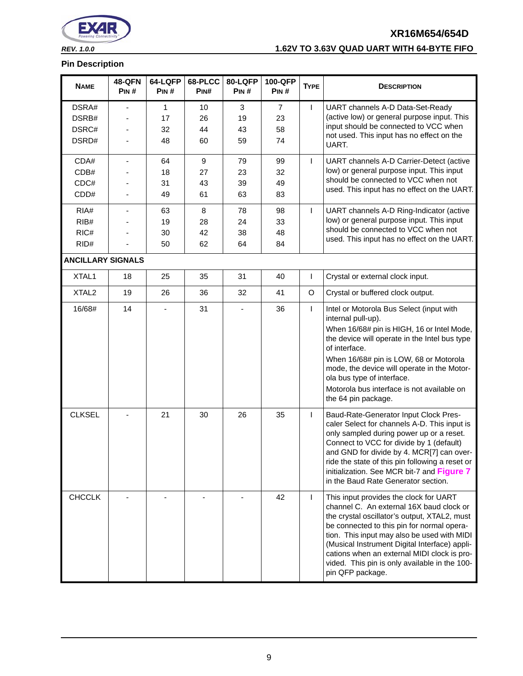

# *REV. 1.0.0* **1.62V TO 3.63V QUAD UART WITH 64-BYTE FIFO**

| <b>NAME</b>              | <b>48-QFN</b><br>PIN# | 64-LQFP<br>PIN# | 68-PLCC<br>PIN#  | 80-LQFP<br>PIN# | 100-QFP<br>PIN# | <b>TYPE</b> | <b>DESCRIPTION</b>                                                                                                                                                                                                                                                                                                                                                                                   |
|--------------------------|-----------------------|-----------------|------------------|-----------------|-----------------|-------------|------------------------------------------------------------------------------------------------------------------------------------------------------------------------------------------------------------------------------------------------------------------------------------------------------------------------------------------------------------------------------------------------------|
| DSRA#                    |                       | $\mathbf{1}$    | 10               | 3               | $\overline{7}$  | L           | UART channels A-D Data-Set-Ready                                                                                                                                                                                                                                                                                                                                                                     |
| DSRB#                    |                       | 17              | 26               | 19              | 23              |             | (active low) or general purpose input. This                                                                                                                                                                                                                                                                                                                                                          |
| DSRC#                    |                       | 32              | 44               | 43              | 58              |             | input should be connected to VCC when<br>not used. This input has no effect on the                                                                                                                                                                                                                                                                                                                   |
| DSRD#                    |                       | 48              | 60               | 59              | 74              |             | UART.                                                                                                                                                                                                                                                                                                                                                                                                |
| CDA#                     | -                     | 64              | $\boldsymbol{9}$ | 79              | 99              | T           | UART channels A-D Carrier-Detect (active                                                                                                                                                                                                                                                                                                                                                             |
| CDB#                     |                       | 18              | 27               | 23              | 32              |             | low) or general purpose input. This input                                                                                                                                                                                                                                                                                                                                                            |
| CDC#                     |                       | 31              | 43               | 39              | 49              |             | should be connected to VCC when not<br>used. This input has no effect on the UART.                                                                                                                                                                                                                                                                                                                   |
| CDD#                     |                       | 49              | 61               | 63              | 83              |             |                                                                                                                                                                                                                                                                                                                                                                                                      |
| RIA#                     |                       | 63              | 8                | 78              | 98              | T           | UART channels A-D Ring-Indicator (active                                                                                                                                                                                                                                                                                                                                                             |
| RIB#                     |                       | 19              | 28               | 24              | 33              |             | low) or general purpose input. This input                                                                                                                                                                                                                                                                                                                                                            |
| RIC#                     |                       | 30              | 42               | 38              | 48              |             | should be connected to VCC when not                                                                                                                                                                                                                                                                                                                                                                  |
| RID#                     |                       | 50              | 62               | 64              | 84              |             | used. This input has no effect on the UART.                                                                                                                                                                                                                                                                                                                                                          |
| <b>ANCILLARY SIGNALS</b> |                       |                 |                  |                 |                 |             |                                                                                                                                                                                                                                                                                                                                                                                                      |
| XTAL1                    | 18                    | 25              | 35               | 31              | 40              | L           | Crystal or external clock input.                                                                                                                                                                                                                                                                                                                                                                     |
| XTAL <sub>2</sub>        | 19                    | 26              | 36               | 32              | 41              | O           | Crystal or buffered clock output.                                                                                                                                                                                                                                                                                                                                                                    |
| 16/68#                   | 14                    |                 | 31               |                 | 36              | L           | Intel or Motorola Bus Select (input with<br>internal pull-up).<br>When 16/68# pin is HIGH, 16 or Intel Mode,<br>the device will operate in the Intel bus type<br>of interface.<br>When 16/68# pin is LOW, 68 or Motorola<br>mode, the device will operate in the Motor-<br>ola bus type of interface.<br>Motorola bus interface is not available on<br>the 64 pin package.                           |
| <b>CLKSEL</b>            |                       | 21              | 30               | 26              | 35              | L           | Baud-Rate-Generator Input Clock Pres-<br>caler Select for channels A-D. This input is<br>only sampled during power up or a reset.<br>Connect to VCC for divide by 1 (default)<br>and GND for divide by 4. MCR[7] can over-<br>ride the state of this pin following a reset or<br>initialization. See MCR bit-7 and Figure 7<br>in the Baud Rate Generator section.                                   |
| <b>CHCCLK</b>            |                       |                 |                  |                 | 42              | T.          | This input provides the clock for UART<br>channel C. An external 16X baud clock or<br>the crystal oscillator's output, XTAL2, must<br>be connected to this pin for normal opera-<br>tion. This input may also be used with MIDI<br>(Musical Instrument Digital Interface) appli-<br>cations when an external MIDI clock is pro-<br>vided. This pin is only available in the 100-<br>pin QFP package. |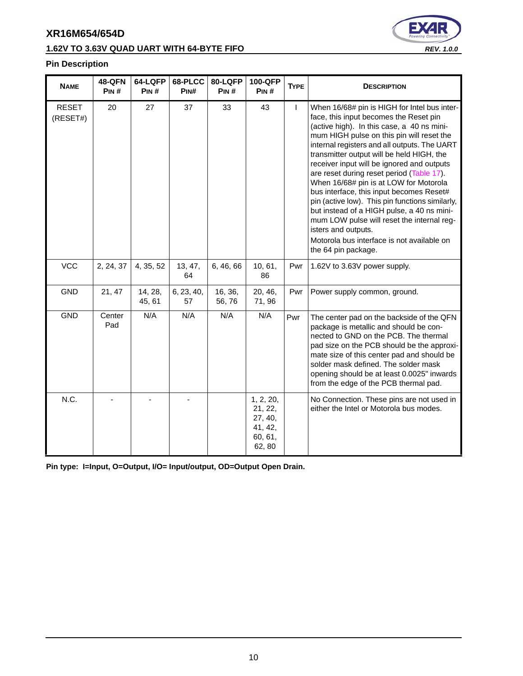# **1.62V TO 3.63V QUAD UART WITH 64-BYTE FIFO** *REV. 1.0.0*



#### **Pin Description**

| <b>NAME</b>              | <b>48-QFN</b><br>PIN# | 64-LQFP<br>PIN#   | 68-PLCC<br>PIN#  | 80-LQFP<br>PIN#  | 100-QFP<br>PIN#                                                 | <b>TYPE</b> | <b>DESCRIPTION</b>                                                                                                                                                                                                                                                                                                                                                                                                                                                                                                                                                                                                                                                                                         |
|--------------------------|-----------------------|-------------------|------------------|------------------|-----------------------------------------------------------------|-------------|------------------------------------------------------------------------------------------------------------------------------------------------------------------------------------------------------------------------------------------------------------------------------------------------------------------------------------------------------------------------------------------------------------------------------------------------------------------------------------------------------------------------------------------------------------------------------------------------------------------------------------------------------------------------------------------------------------|
| <b>RESET</b><br>(RESET#) | 20                    | 27                | 37               | 33               | 43                                                              | L           | When 16/68# pin is HIGH for Intel bus inter-<br>face, this input becomes the Reset pin<br>(active high). In this case, a 40 ns mini-<br>mum HIGH pulse on this pin will reset the<br>internal registers and all outputs. The UART<br>transmitter output will be held HIGH, the<br>receiver input will be ignored and outputs<br>are reset during reset period (Table 17).<br>When 16/68# pin is at LOW for Motorola<br>bus interface, this input becomes Reset#<br>pin (active low). This pin functions similarly,<br>but instead of a HIGH pulse, a 40 ns mini-<br>mum LOW pulse will reset the internal reg-<br>isters and outputs.<br>Motorola bus interface is not available on<br>the 64 pin package. |
| <b>VCC</b>               | 2, 24, 37             | 4, 35, 52         | 13, 47,<br>64    | 6, 46, 66        | 10, 61,<br>86                                                   | Pwr         | 1.62V to 3.63V power supply.                                                                                                                                                                                                                                                                                                                                                                                                                                                                                                                                                                                                                                                                               |
| <b>GND</b>               | 21, 47                | 14, 28,<br>45, 61 | 6, 23, 40,<br>57 | 16, 36,<br>56,76 | 20, 46,<br>71,96                                                | Pwr         | Power supply common, ground.                                                                                                                                                                                                                                                                                                                                                                                                                                                                                                                                                                                                                                                                               |
| <b>GND</b>               | Center<br>Pad         | N/A               | N/A              | N/A              | N/A                                                             | Pwr         | The center pad on the backside of the QFN<br>package is metallic and should be con-<br>nected to GND on the PCB. The thermal<br>pad size on the PCB should be the approxi-<br>mate size of this center pad and should be<br>solder mask defined. The solder mask<br>opening should be at least 0.0025" inwards<br>from the edge of the PCB thermal pad.                                                                                                                                                                                                                                                                                                                                                    |
| N.C.                     |                       |                   |                  |                  | 1, 2, 20,<br>21, 22,<br>27, 40,<br>41, 42,<br>60, 61,<br>62, 80 |             | No Connection. These pins are not used in<br>either the Intel or Motorola bus modes.                                                                                                                                                                                                                                                                                                                                                                                                                                                                                                                                                                                                                       |

**Pin type: I=Input, O=Output, I/O= Input/output, OD=Output Open Drain.**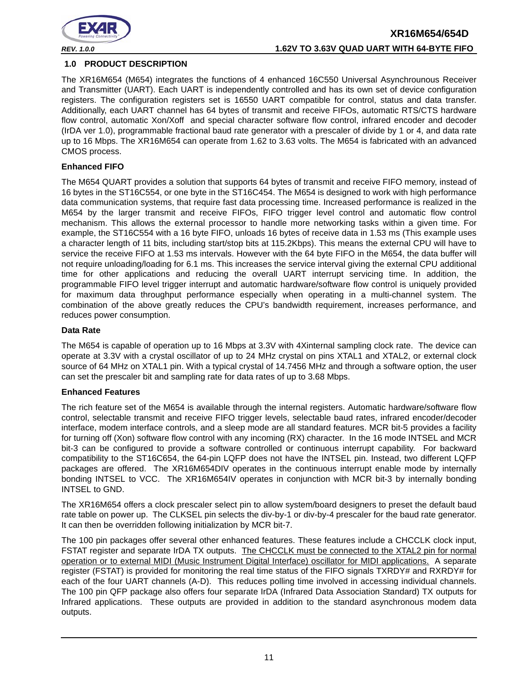

#### <span id="page-10-0"></span>**1.0 PRODUCT DESCRIPTION**

The XR16M654 (M654) integrates the functions of 4 enhanced 16C550 Universal Asynchrounous Receiver and Transmitter (UART). Each UART is independently controlled and has its own set of device configuration registers. The configuration registers set is 16550 UART compatible for control, status and data transfer. Additionally, each UART channel has 64 bytes of transmit and receive FIFOs, automatic RTS/CTS hardware flow control, automatic Xon/Xoff and special character software flow control, infrared encoder and decoder (IrDA ver 1.0), programmable fractional baud rate generator with a prescaler of divide by 1 or 4, and data rate up to 16 Mbps. The XR16M654 can operate from 1.62 to 3.63 volts. The M654 is fabricated with an advanced CMOS process.

#### **Enhanced FIFO**

The M654 QUART provides a solution that supports 64 bytes of transmit and receive FIFO memory, instead of 16 bytes in the ST16C554, or one byte in the ST16C454. The M654 is designed to work with high performance data communication systems, that require fast data processing time. Increased performance is realized in the M654 by the larger transmit and receive FIFOs, FIFO trigger level control and automatic flow control mechanism. This allows the external processor to handle more networking tasks within a given time. For example, the ST16C554 with a 16 byte FIFO, unloads 16 bytes of receive data in 1.53 ms (This example uses a character length of 11 bits, including start/stop bits at 115.2Kbps). This means the external CPU will have to service the receive FIFO at 1.53 ms intervals. However with the 64 byte FIFO in the M654, the data buffer will not require unloading/loading for 6.1 ms. This increases the service interval giving the external CPU additional time for other applications and reducing the overall UART interrupt servicing time. In addition, the programmable FIFO level trigger interrupt and automatic hardware/software flow control is uniquely provided for maximum data throughput performance especially when operating in a multi-channel system. The combination of the above greatly reduces the CPU's bandwidth requirement, increases performance, and reduces power consumption.

#### **Data Rate**

The M654 is capable of operation up to 16 Mbps at 3.3V with 4Xinternal sampling clock rate. The device can operate at 3.3V with a crystal oscillator of up to 24 MHz crystal on pins XTAL1 and XTAL2, or external clock source of 64 MHz on XTAL1 pin. With a typical crystal of 14.7456 MHz and through a software option, the user can set the prescaler bit and sampling rate for data rates of up to 3.68 Mbps.

#### **Enhanced Features**

The rich feature set of the M654 is available through the internal registers. Automatic hardware/software flow control, selectable transmit and receive FIFO trigger levels, selectable baud rates, infrared encoder/decoder interface, modem interface controls, and a sleep mode are all standard features. MCR bit-5 provides a facility for turning off (Xon) software flow control with any incoming (RX) character. In the 16 mode INTSEL and MCR bit-3 can be configured to provide a software controlled or continuous interrupt capability. For backward compatibility to the ST16C654, the 64-pin LQFP does not have the INTSEL pin. Instead, two different LQFP packages are offered. The XR16M654DIV operates in the continuous interrupt enable mode by internally bonding INTSEL to VCC. The XR16M654IV operates in conjunction with MCR bit-3 by internally bonding INTSEL to GND.

The XR16M654 offers a clock prescaler select pin to allow system/board designers to preset the default baud rate table on power up. The CLKSEL pin selects the div-by-1 or div-by-4 prescaler for the baud rate generator. It can then be overridden following initialization by MCR bit-7.

The 100 pin packages offer several other enhanced features. These features include a CHCCLK clock input, FSTAT register and separate IrDA TX outputs. The CHCCLK must be connected to the XTAL2 pin for normal operation or to external MIDI (Music Instrument Digital Interface) oscillator for MIDI applications. A separate register (FSTAT) is provided for monitoring the real time status of the FIFO signals TXRDY# and RXRDY# for each of the four UART channels (A-D). This reduces polling time involved in accessing individual channels. The 100 pin QFP package also offers four separate IrDA (Infrared Data Association Standard) TX outputs for Infrared applications. These outputs are provided in addition to the standard asynchronous modem data outputs.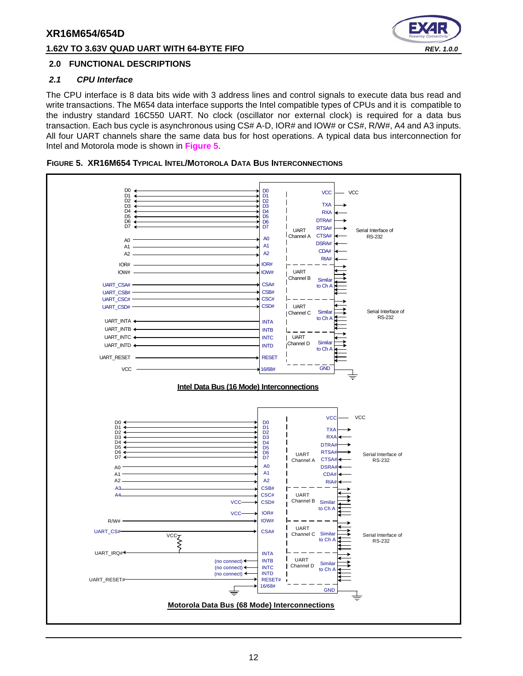#### **1.62V TO 3.63V QUAD UART WITH 64-BYTE FIFO** *REV. 1.0.0*



#### <span id="page-11-1"></span>**2.0 FUNCTIONAL DESCRIPTIONS**

#### <span id="page-11-2"></span>*2.1 CPU Interface*

The CPU interface is 8 data bits wide with 3 address lines and control signals to execute data bus read and write transactions. The M654 data interface supports the Intel compatible types of CPUs and it is compatible to the industry standard 16C550 UART. No clock (oscillator nor external clock) is required for a data bus transaction. Each bus cycle is asynchronous using CS# A-D, IOR# and IOW# or CS#, R/W#, A4 and A3 inputs. All four UART channels share the same data bus for host operations. A typical data bus interconnection for Intel and Motorola mode is shown in **[Figure](#page-11-0) 5**.

<span id="page-11-0"></span>

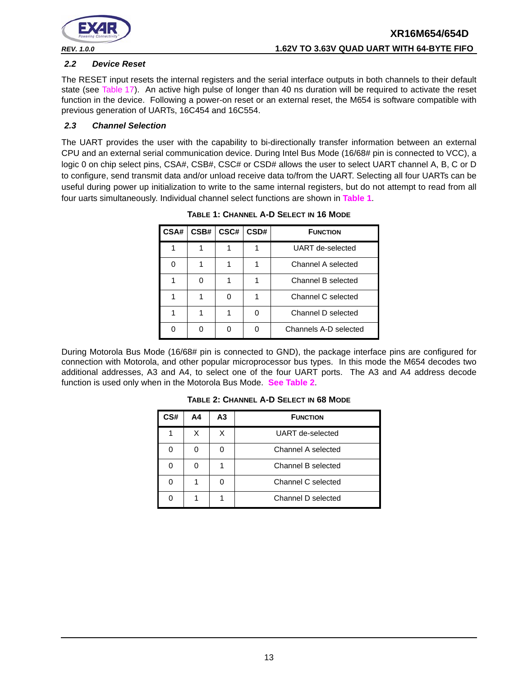

#### <span id="page-12-2"></span>*2.2 Device Reset*

The RESET input resets the internal registers and the serial interface outputs in both channels to their default state (see [Table](#page-40-0) 17). An active high pulse of longer than 40 ns duration will be required to activate the reset function in the device. Following a power-on reset or an external reset, the M654 is software compatible with previous generation of UARTs, 16C454 and 16C554.

#### <span id="page-12-3"></span>*2.3 Channel Selection*

<span id="page-12-0"></span>The UART provides the user with the capability to bi-directionally transfer information between an external CPU and an external serial communication device. During Intel Bus Mode (16/68# pin is connected to VCC), a logic 0 on chip select pins, CSA#, CSB#, CSC# or CSD# allows the user to select UART channel A, B, C or D to configure, send transmit data and/or unload receive data to/from the UART. Selecting all four UARTs can be useful during power up initialization to write to the same internal registers, but do not attempt to read from all four uarts simultaneously. Individual channel select functions are shown in **[Table](#page-12-0) 1**.

| CSA# | CSB# | CSC# | CSD# | <b>FUNCTION</b>       |
|------|------|------|------|-----------------------|
|      |      |      |      | UART de-selected      |
|      |      |      |      | Channel A selected    |
|      | ∩    |      |      | Channel B selected    |
|      |      |      |      | Channel C selected    |
|      |      |      |      | Channel D selected    |
|      |      |      |      | Channels A-D selected |

**TABLE 1: CHANNEL A-D SELECT IN 16 MODE**

<span id="page-12-1"></span>During Motorola Bus Mode (16/68# pin is connected to GND), the package interface pins are configured for connection with Motorola, and other popular microprocessor bus types. In this mode the M654 decodes two additional addresses, A3 and A4, to select one of the four UART ports. The A3 and A4 address decode function is used only when in the Motorola Bus Mode. **[See Table](#page-12-1) 2**.

| CS# | Α4 | А3 | <b>FUNCTION</b>    |  |
|-----|----|----|--------------------|--|
|     |    |    | UART de-selected   |  |
|     |    |    | Channel A selected |  |
|     |    |    | Channel B selected |  |
|     |    |    | Channel C selected |  |
|     |    |    | Channel D selected |  |

**TABLE 2: CHANNEL A-D SELECT IN 68 MODE**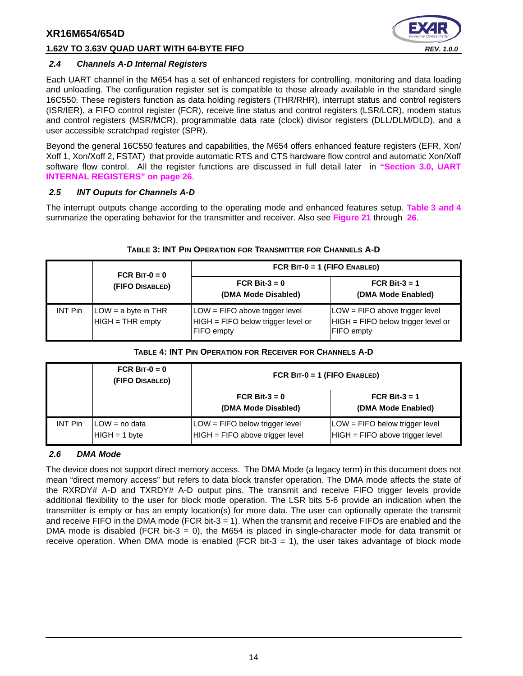#### **1.62V TO 3.63V QUAD UART WITH 64-BYTE FIFO** *REV. 1.0.0*



#### <span id="page-13-2"></span>*2.4 Channels A-D Internal Registers*

Each UART channel in the M654 has a set of enhanced registers for controlling, monitoring and data loading and unloading. The configuration register set is compatible to those already available in the standard single 16C550. These registers function as data holding registers (THR/RHR), interrupt status and control registers (ISR/IER), a FIFO control register (FCR), receive line status and control registers (LSR/LCR), modem status and control registers (MSR/MCR), programmable data rate (clock) divisor registers (DLL/DLM/DLD), and a user accessible scratchpad register (SPR).

Beyond the general 16C550 features and capabilities, the M654 offers enhanced feature registers (EFR, Xon/ Xoff 1, Xon/Xoff 2, FSTAT) that provide automatic RTS and CTS hardware flow control and automatic Xon/Xoff software flow control. All the register functions are discussed in full detail later in **["Section 3.0, UART](#page-25-0) [INTERNAL REGISTERS" on page](#page-25-0) 26**.

#### <span id="page-13-3"></span>*2.5 INT Ouputs for Channels A-D*

The interrupt outputs change according to the operating mode and enhanced features setup. **[Table](#page-13-0) 3 [and](#page-13-1) 4** summarize the operating behavior for the transmitter and receiver. Also see **[Figure](#page-46-0) 21** through **[26](#page-49-0)**.

<span id="page-13-0"></span>

|                | FCR BIT- $0 = 0$                          | FCR $BIT-0 = 1$ (FIFO ENABLED)                                                            |                                                                                               |
|----------------|-------------------------------------------|-------------------------------------------------------------------------------------------|-----------------------------------------------------------------------------------------------|
|                | (FIFO DISABLED)                           | FCR Bit-3 = $0$<br>(DMA Mode Disabled)                                                    | FCR Bit-3 = $1$<br>(DMA Mode Enabled)                                                         |
| <b>INT Pin</b> | $LOW = a$ byte in THR<br>HIGH = THR empty | LOW = FIFO above trigger level<br>HIGH = FIFO below trigger level or<br><b>FIFO</b> empty | $LOW = FIFO$ above trigger level<br>$HIGH = FIFO below trigger level or$<br><b>FIFO</b> empty |

#### **TABLE 3: INT PIN OPERATION FOR TRANSMITTER FOR CHANNELS A-D**

#### **TABLE 4: INT PIN OPERATION FOR RECEIVER FOR CHANNELS A-D**

<span id="page-13-1"></span>

|                | FCR BIT- $0 = 0$<br>(FIFO DISABLED) | FCR $BIT-0 = 1$ (FIFO ENABLED)                                    |                                                                     |  |  |
|----------------|-------------------------------------|-------------------------------------------------------------------|---------------------------------------------------------------------|--|--|
|                |                                     | FCR Bit-3 = $0$<br>(DMA Mode Disabled)                            | FCR Bit-3 = $1$<br>(DMA Mode Enabled)                               |  |  |
| <b>INT Pin</b> | ILOW = no data<br>$HIGH = 1 byte$   | LOW = FIFO below trigger level<br>HIGH = FIFO above trigger level | $LOW = FIFO$ below trigger level<br>HIGH = FIFO above trigger level |  |  |

#### <span id="page-13-4"></span>*2.6 DMA Mode*

The device does not support direct memory access. The DMA Mode (a legacy term) in this document does not mean "direct memory access" but refers to data block transfer operation. The DMA mode affects the state of the RXRDY# A-D and TXRDY# A-D output pins. The transmit and receive FIFO trigger levels provide additional flexibility to the user for block mode operation. The LSR bits 5-6 provide an indication when the transmitter is empty or has an empty location(s) for more data. The user can optionally operate the transmit and receive FIFO in the DMA mode (FCR bit-3 = 1). When the transmit and receive FIFOs are enabled and the DMA mode is disabled (FCR bit-3 = 0), the M654 is placed in single-character mode for data transmit or receive operation. When DMA mode is enabled (FCR bit- $3 = 1$ ), the user takes advantage of block mode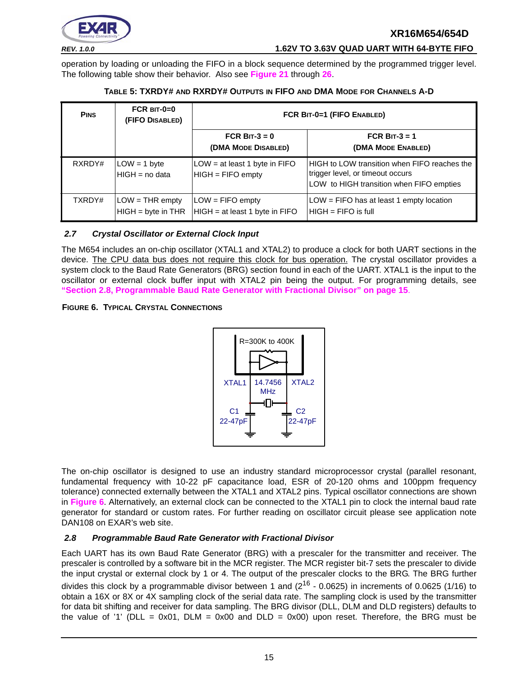

*REV. 1.0.0* **1.62V TO 3.63V QUAD UART WITH 64-BYTE FIFO**

operation by loading or unloading the FIFO in a block sequence determined by the programmed trigger level. The following table show their behavior. Also see **[Figure](#page-46-0) 21** through **[26](#page-49-0)**.

<span id="page-14-0"></span>

| <b>PINS</b> | $FCR$ BIT-0=0<br>(FIFO DISABLED)          | FCR BIT-0=1 (FIFO ENABLED)                           |                                                                                                                              |  |
|-------------|-------------------------------------------|------------------------------------------------------|------------------------------------------------------------------------------------------------------------------------------|--|
|             |                                           | FCR BIT- $3 = 0$<br>(DMA MODE DISABLED)              | FCR BIT- $3 = 1$<br>(DMA MODE ENABLED)                                                                                       |  |
| RXRDY#      | $LOW = 1 byte$<br>$HIGH = no data$        | LOW = at least 1 byte in FIFO<br>$HIGH = FIFO$ empty | HIGH to LOW transition when FIFO reaches the<br>trigger level, or timeout occurs<br>LOW to HIGH transition when FIFO empties |  |
| TXRDY#      | $LOW = THR$ empty<br>$HIGH = byte in THR$ | $LOW = FIFO$ empty<br>HIGH = at least 1 byte in FIFO | $LOW = FIFO$ has at least 1 empty location<br>$HIGH = FIFO$ is full                                                          |  |

#### **TABLE 5: TXRDY# AND RXRDY# OUTPUTS IN FIFO AND DMA MODE FOR CHANNELS A-D**

#### <span id="page-14-3"></span>*2.7 Crystal Oscillator or External Clock Input*

The M654 includes an on-chip oscillator (XTAL1 and XTAL2) to produce a clock for both UART sections in the device. The CPU data bus does not require this clock for bus operation. The crystal oscillator provides a system clock to the Baud Rate Generators (BRG) section found in each of the UART. XTAL1 is the input to the oscillator or external clock buffer input with XTAL2 pin being the output. For programming details, see **["Section 2.8, Programmable Baud Rate Generator with Fractional Divisor" on page](#page-14-1) 15**.

#### <span id="page-14-2"></span>**FIGURE 6. TYPICAL CRYSTAL CONNECTIONS**



The on-chip oscillator is designed to use an industry standard microprocessor crystal (parallel resonant, fundamental frequency with 10-22 pF capacitance load, ESR of 20-120 ohms and 100ppm frequency tolerance) connected externally between the XTAL1 and XTAL2 pins. Typical oscillator connections are shown in **[Figure](#page-14-2) 6**. Alternatively, an external clock can be connected to the XTAL1 pin to clock the internal baud rate generator for standard or custom rates. For further reading on oscillator circuit please see application note DAN108 on EXAR's web site.

#### <span id="page-14-1"></span>*2.8 Programmable Baud Rate Generator with Fractional Divisor*

Each UART has its own Baud Rate Generator (BRG) with a prescaler for the transmitter and receiver. The prescaler is controlled by a software bit in the MCR register. The MCR register bit-7 sets the prescaler to divide the input crystal or external clock by 1 or 4. The output of the prescaler clocks to the BRG. The BRG further divides this clock by a programmable divisor between 1 and  $(2^{16} - 0.0625)$  in increments of 0.0625 (1/16) to obtain a 16X or 8X or 4X sampling clock of the serial data rate. The sampling clock is used by the transmitter for data bit shifting and receiver for data sampling. The BRG divisor (DLL, DLM and DLD registers) defaults to the value of '1' (DLL = 0x01, DLM = 0x00 and DLD = 0x00) upon reset. Therefore, the BRG must be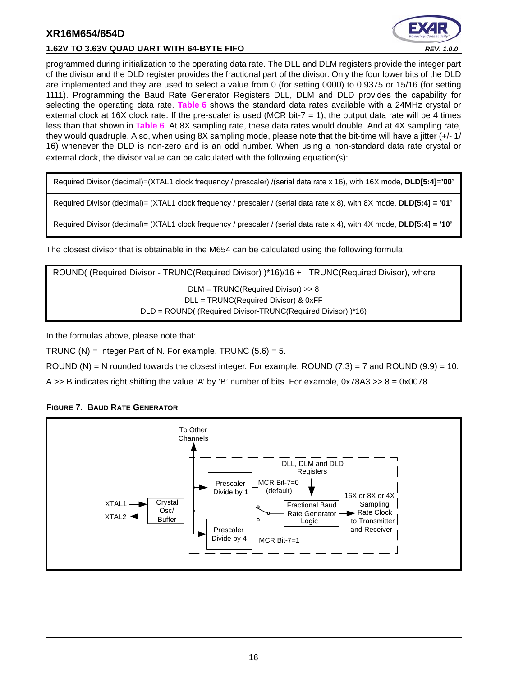



programmed during initialization to the operating data rate. The DLL and DLM registers provide the integer part of the divisor and the DLD register provides the fractional part of the divisor. Only the four lower bits of the DLD are implemented and they are used to select a value from 0 (for setting 0000) to 0.9375 or 15/16 (for setting 1111). Programming the Baud Rate Generator Registers DLL, DLM and DLD provides the capability for selecting the operating data rate. **[Table](#page-16-0) 6** shows the standard data rates available with a 24MHz crystal or external clock at 16X clock rate. If the pre-scaler is used (MCR bit-7  $=$  1), the output data rate will be 4 times less than that shown in **[Table](#page-16-0) 6**. At 8X sampling rate, these data rates would double. And at 4X sampling rate, they would quadruple. Also, when using 8X sampling mode, please note that the bit-time will have a jitter (+/- 1/ 16) whenever the DLD is non-zero and is an odd number. When using a non-standard data rate crystal or external clock, the divisor value can be calculated with the following equation(s):

Required Divisor (decimal)=(XTAL1 clock frequency / prescaler) /(serial data rate x 16), with 16X mode, **DLD[5:4]='00'**

Required Divisor (decimal)= (XTAL1 clock frequency / prescaler / (serial data rate x 8), with 8X mode, **DLD[5:4] = '01'**

Required Divisor (decimal)= (XTAL1 clock frequency / prescaler / (serial data rate x 4), with 4X mode, **DLD[5:4] = '10'**

The closest divisor that is obtainable in the M654 can be calculated using the following formula:

ROUND( (Required Divisor - TRUNC(Required Divisor) )\*16)/16 + TRUNC(Required Divisor), where DLM = TRUNC(Required Divisor) >> 8 DLL = TRUNC(Required Divisor) & 0xFF DLD = ROUND( (Required Divisor-TRUNC(Required Divisor) )\*16)

In the formulas above, please note that:

TRUNC (N) = Integer Part of N. For example, TRUNC  $(5.6) = 5$ .

ROUND (N) = N rounded towards the closest integer. For example, ROUND  $(7.3)$  = 7 and ROUND  $(9.9)$  = 10.

A  $\gt$  B indicates right shifting the value 'A' by 'B' number of bits. For example, 0x78A3  $\gt$  8 = 0x0078.



#### <span id="page-15-0"></span>**FIGURE 7. BAUD RATE GENERATOR**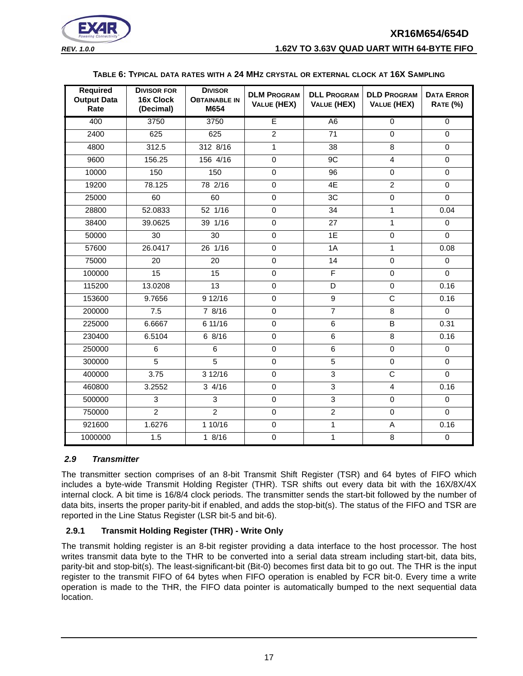



#### *REV. 1.0.0* **1.62V TO 3.63V QUAD UART WITH 64-BYTE FIFO**

#### **TABLE 6: TYPICAL DATA RATES WITH A 24 MHZ CRYSTAL OR EXTERNAL CLOCK AT 16X SAMPLING**

<span id="page-16-0"></span>

| <b>Required</b><br><b>Output Data</b><br>Rate | <b>DIVISOR FOR</b><br>16x Clock<br>(Decimal) | <b>DIVISOR</b><br><b>OBTAINABLE IN</b><br>M654 | <b>DLM PROGRAM</b><br><b>VALUE (HEX)</b> | <b>DLL PROGRAM</b><br><b>VALUE (HEX)</b> | <b>DLD PROGRAM</b><br>VALUE (HEX) | <b>DATA ERROR</b><br><b>RATE (%)</b> |
|-----------------------------------------------|----------------------------------------------|------------------------------------------------|------------------------------------------|------------------------------------------|-----------------------------------|--------------------------------------|
| 400                                           | 3750                                         | 3750                                           | E                                        | A <sub>6</sub>                           | $\overline{0}$                    | $\overline{0}$                       |
| 2400                                          | 625                                          | 625                                            | $\overline{2}$                           | 71                                       | $\Omega$                          | $\Omega$                             |
| 4800                                          | 312.5                                        | 312 8/16                                       | $\mathbf{1}$                             | 38                                       | 8                                 | $\mathbf 0$                          |
| 9600                                          | 156.25                                       | 156 4/16                                       | $\pmb{0}$                                | 9C                                       | $\overline{\mathbf{4}}$           | $\mathbf 0$                          |
| 10000                                         | 150                                          | 150                                            | $\pmb{0}$                                | $\overline{96}$                          | $\overline{0}$                    | $\mathbf 0$                          |
| 19200                                         | 78.125                                       | 78 2/16                                        | $\mathbf 0$                              | 4E                                       | $\overline{2}$                    | $\Omega$                             |
| 25000                                         | 60                                           | 60                                             | $\overline{0}$                           | 3C                                       | $\overline{0}$                    | $\Omega$                             |
| 28800                                         | 52.0833                                      | 52 1/16                                        | $\pmb{0}$                                | 34                                       | 1                                 | 0.04                                 |
| 38400                                         | 39.0625                                      | 39 1/16                                        | $\mathbf 0$                              | 27                                       | $\mathbf{1}$                      | $\Omega$                             |
| 50000                                         | 30                                           | 30                                             | $\mathbf 0$                              | 1E                                       | $\mathbf 0$                       | $\Omega$                             |
| 57600                                         | 26.0417                                      | 26 1/16                                        | $\pmb{0}$                                | 1A                                       | $\mathbf{1}$                      | 0.08                                 |
| 75000                                         | 20                                           | 20                                             | $\mathbf 0$                              | 14                                       | $\mathbf 0$                       | $\Omega$                             |
| 100000                                        | 15                                           | 15                                             | $\pmb{0}$                                | F                                        | $\mathbf 0$                       | $\Omega$                             |
| 115200                                        | 13.0208                                      | 13                                             | $\mathsf 0$                              | D                                        | $\mathbf 0$                       | 0.16                                 |
| 153600                                        | 9.7656                                       | 9 12/16                                        | $\mathbf 0$                              | $\overline{9}$                           | $\overline{\text{c}}$             | 0.16                                 |
| 200000                                        | 7.5                                          | 7 8/16                                         | $\overline{0}$                           | $\overline{7}$                           | 8                                 | $\Omega$                             |
| 225000                                        | 6.6667                                       | 6 11/16                                        | $\mathbf 0$                              | 6                                        | B                                 | 0.31                                 |
| 230400                                        | 6.5104                                       | 6 8/16                                         | $\pmb{0}$                                | 6                                        | 8                                 | 0.16                                 |
| 250000                                        | 6                                            | 6                                              | $\mathbf 0$                              | 6                                        | $\Omega$                          | $\Omega$                             |
| 300000                                        | $\overline{5}$                               | $\overline{5}$                                 | $\overline{0}$                           | $\overline{5}$                           | $\mathbf 0$                       | $\Omega$                             |
| 400000                                        | 3.75                                         | 3 12/16                                        | $\mathbf 0$                              | $\overline{3}$                           | $\overline{\text{c}}$             | $\Omega$                             |
| 460800                                        | 3.2552                                       | $3 \frac{4}{16}$                               | $\overline{0}$                           | $\overline{3}$                           | $\overline{4}$                    | 0.16                                 |
| 500000                                        | 3                                            | 3                                              | $\pmb{0}$                                | $\overline{3}$                           | $\mathbf 0$                       | $\mathbf 0$                          |
| 750000                                        | $\overline{2}$                               | $\overline{2}$                                 | $\mathsf 0$                              | $\overline{2}$                           | $\mathbf 0$                       | $\Omega$                             |
| 921600                                        | 1.6276                                       | 1 10/16                                        | $\mathbf 0$                              | $\mathbf{1}$                             | A                                 | 0.16                                 |
| 1000000                                       | 1.5                                          | 18/16                                          | $\overline{0}$                           | $\mathbf{1}$                             | 8                                 | $\mathbf 0$                          |

#### <span id="page-16-1"></span>*2.9 Transmitter*

The transmitter section comprises of an 8-bit Transmit Shift Register (TSR) and 64 bytes of FIFO which includes a byte-wide Transmit Holding Register (THR). TSR shifts out every data bit with the 16X/8X/4X internal clock. A bit time is 16/8/4 clock periods. The transmitter sends the start-bit followed by the number of data bits, inserts the proper parity-bit if enabled, and adds the stop-bit(s). The status of the FIFO and TSR are reported in the Line Status Register (LSR bit-5 and bit-6).

#### <span id="page-16-2"></span>**2.9.1 Transmit Holding Register (THR) - Write Only**

The transmit holding register is an 8-bit register providing a data interface to the host processor. The host writes transmit data byte to the THR to be converted into a serial data stream including start-bit, data bits, parity-bit and stop-bit(s). The least-significant-bit (Bit-0) becomes first data bit to go out. The THR is the input register to the transmit FIFO of 64 bytes when FIFO operation is enabled by FCR bit-0. Every time a write operation is made to the THR, the FIFO data pointer is automatically bumped to the next sequential data location.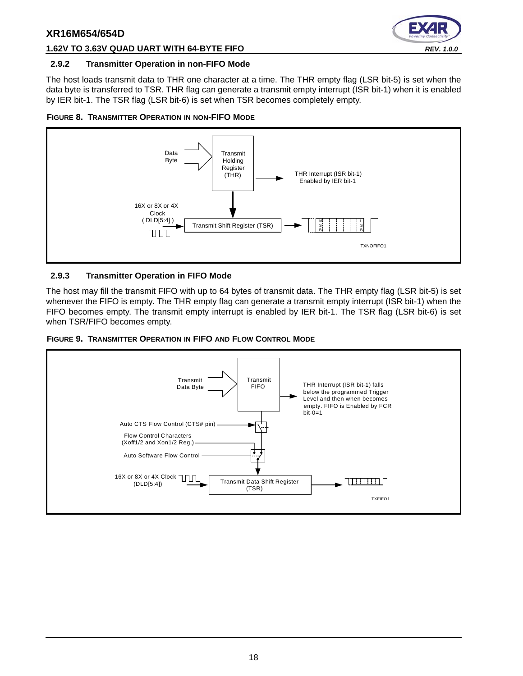

#### **1.62V TO 3.63V QUAD UART WITH 64-BYTE FIFO** *REV. 1.0.0*

#### <span id="page-17-0"></span>**2.9.2 Transmitter Operation in non-FIFO Mode**

The host loads transmit data to THR one character at a time. The THR empty flag (LSR bit-5) is set when the data byte is transferred to TSR. THR flag can generate a transmit empty interrupt (ISR bit-1) when it is enabled by IER bit-1. The TSR flag (LSR bit-6) is set when TSR becomes completely empty.

<span id="page-17-1"></span>



#### <span id="page-17-2"></span>**2.9.3 Transmitter Operation in FIFO Mode**

The host may fill the transmit FIFO with up to 64 bytes of transmit data. The THR empty flag (LSR bit-5) is set whenever the FIFO is empty. The THR empty flag can generate a transmit empty interrupt (ISR bit-1) when the FIFO becomes empty. The transmit empty interrupt is enabled by IER bit-1. The TSR flag (LSR bit-6) is set when TSR/FIFO becomes empty.

<span id="page-17-3"></span>

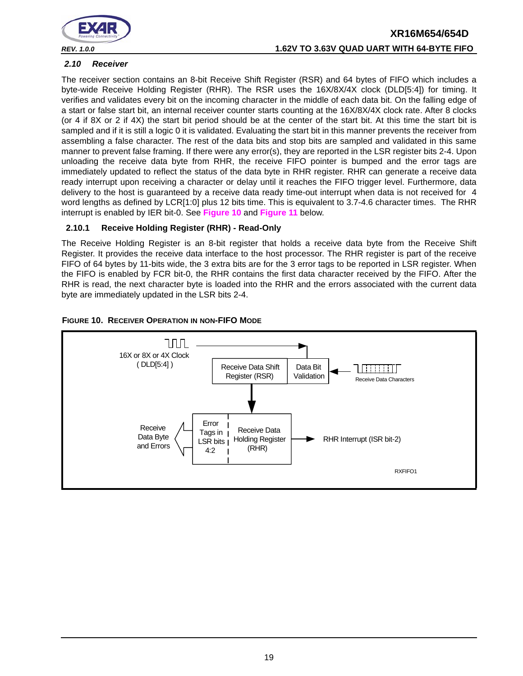

# **XR16M654/654D** *REV. 1.0.0* **1.62V TO 3.63V QUAD UART WITH 64-BYTE FIFO**

#### <span id="page-18-1"></span>*2.10 Receiver*

The receiver section contains an 8-bit Receive Shift Register (RSR) and 64 bytes of FIFO which includes a byte-wide Receive Holding Register (RHR). The RSR uses the 16X/8X/4X clock (DLD[5:4]) for timing. It verifies and validates every bit on the incoming character in the middle of each data bit. On the falling edge of a start or false start bit, an internal receiver counter starts counting at the 16X/8X/4X clock rate. After 8 clocks (or 4 if 8X or 2 if 4X) the start bit period should be at the center of the start bit. At this time the start bit is sampled and if it is still a logic 0 it is validated. Evaluating the start bit in this manner prevents the receiver from assembling a false character. The rest of the data bits and stop bits are sampled and validated in this same manner to prevent false framing. If there were any error(s), they are reported in the LSR register bits 2-4. Upon unloading the receive data byte from RHR, the receive FIFO pointer is bumped and the error tags are immediately updated to reflect the status of the data byte in RHR register. RHR can generate a receive data ready interrupt upon receiving a character or delay until it reaches the FIFO trigger level. Furthermore, data delivery to the host is guaranteed by a receive data ready time-out interrupt when data is not received for 4 word lengths as defined by LCR[1:0] plus 12 bits time. This is equivalent to 3.7-4.6 character times. The RHR interrupt is enabled by IER bit-0. See **[Figure](#page-18-0) 10** and **[Figure](#page-19-0) 11** below.

#### <span id="page-18-2"></span>**2.10.1 Receive Holding Register (RHR) - Read-Only**

The Receive Holding Register is an 8-bit register that holds a receive data byte from the Receive Shift Register. It provides the receive data interface to the host processor. The RHR register is part of the receive FIFO of 64 bytes by 11-bits wide, the 3 extra bits are for the 3 error tags to be reported in LSR register. When the FIFO is enabled by FCR bit-0, the RHR contains the first data character received by the FIFO. After the RHR is read, the next character byte is loaded into the RHR and the errors associated with the current data byte are immediately updated in the LSR bits 2-4.

<span id="page-18-0"></span>

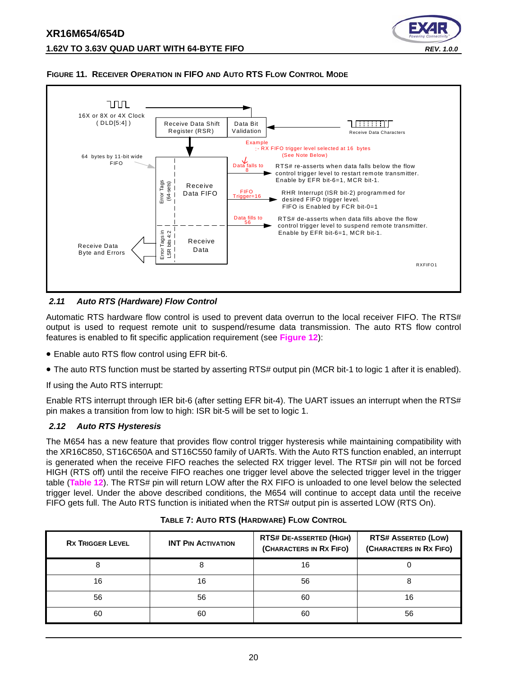



#### <span id="page-19-0"></span>**FIGURE 11. RECEIVER OPERATION IN FIFO AND AUTO RTS FLOW CONTROL MODE**

#### <span id="page-19-1"></span>*2.11 Auto RTS (Hardware) Flow Control*

Automatic RTS hardware flow control is used to prevent data overrun to the local receiver FIFO. The RTS# output is used to request remote unit to suspend/resume data transmission. The auto RTS flow control features is enabled to fit specific application requirement (see **[Figure](#page-20-0) 12**):

- Enable auto RTS flow control using EFR bit-6.
- The auto RTS function must be started by asserting RTS# output pin (MCR bit-1 to logic 1 after it is enabled).

If using the Auto RTS interrupt:

Enable RTS interrupt through IER bit-6 (after setting EFR bit-4). The UART issues an interrupt when the RTS# pin makes a transition from low to high: ISR bit-5 will be set to logic 1.

#### <span id="page-19-2"></span>*2.12 Auto RTS Hysteresis*

The M654 has a new feature that provides flow control trigger hysteresis while maintaining compatibility with the XR16C850, ST16C650A and ST16C550 family of UARTs. With the Auto RTS function enabled, an interrupt is generated when the receive FIFO reaches the selected RX trigger level. The RTS# pin will not be forced HIGH (RTS off) until the receive FIFO reaches one trigger level above the selected trigger level in the trigger table (**[Table](#page-31-0) 12**). The RTS# pin will return LOW after the RX FIFO is unloaded to one level below the selected trigger level. Under the above described conditions, the M654 will continue to accept data until the receive FIFO gets full. The Auto RTS function is initiated when the RTS# output pin is asserted LOW (RTS On).

<span id="page-19-3"></span>

| <b>RX TRIGGER LEVEL</b> | <b>INT PIN ACTIVATION</b> | <b>RTS# DE-ASSERTED (HIGH)</b><br>(CHARACTERS IN RX FIFO) | <b>RTS# ASSERTED (LOW)</b><br>(CHARACTERS IN RX FIFO) |  |
|-------------------------|---------------------------|-----------------------------------------------------------|-------------------------------------------------------|--|
|                         |                           | 16                                                        |                                                       |  |
| 16                      | 16                        | 56                                                        |                                                       |  |
| 56                      | 56                        | 60                                                        | 16                                                    |  |
| 60                      | 60                        | 60                                                        | 56                                                    |  |

| TABLE 7: AUTO RTS (HARDWARE) FLOW CONTROL |  |
|-------------------------------------------|--|
|                                           |  |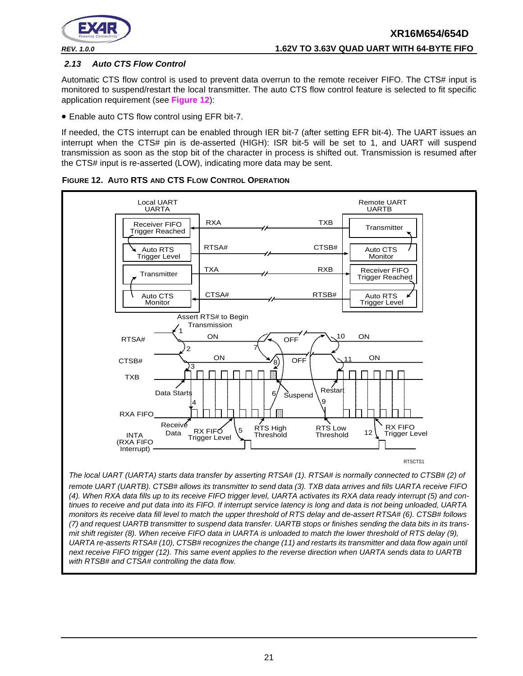

#### <span id="page-20-1"></span>*2.13 Auto CTS Flow Control*

Automatic CTS flow control is used to prevent data overrun to the remote receiver FIFO. The CTS# input is monitored to suspend/restart the local transmitter. The auto CTS flow control feature is selected to fit specific application requirement (see **[Figure](#page-20-0) 12**):

• Enable auto CTS flow control using EFR bit-7.

If needed, the CTS interrupt can be enabled through IER bit-7 (after setting EFR bit-4). The UART issues an interrupt when the CTS# pin is de-asserted (HIGH): ISR bit-5 will be set to 1, and UART will suspend transmission as soon as the stop bit of the character in process is shifted out. Transmission is resumed after the CTS# input is re-asserted (LOW), indicating more data may be sent.



<span id="page-20-0"></span>**FIGURE 12. AUTO RTS AND CTS FLOW CONTROL OPERATION**

*The local UART (UARTA) starts data transfer by asserting RTSA# (1). RTSA# is normally connected to CTSB# (2) of remote UART (UARTB). CTSB# allows its transmitter to send data (3). TXB data arrives and fills UARTA receive FIFO (4). When RXA data fills up to its receive FIFO trigger level, UARTA activates its RXA data ready interrupt (5) and continues to receive and put data into its FIFO. If interrupt service latency is long and data is not being unloaded, UARTA monitors its receive data fill level to match the upper threshold of RTS delay and de-assert RTSA# (6). CTSB# follows (7) and request UARTB transmitter to suspend data transfer. UARTB stops or finishes sending the data bits in its transmit shift register (8). When receive FIFO data in UARTA is unloaded to match the lower threshold of RTS delay (9), UARTA re-asserts RTSA# (10), CTSB# recognizes the change (11) and restarts its transmitter and data flow again until next receive FIFO trigger (12). This same event applies to the reverse direction when UARTA sends data to UARTB with RTSB# and CTSA# controlling the data flow.*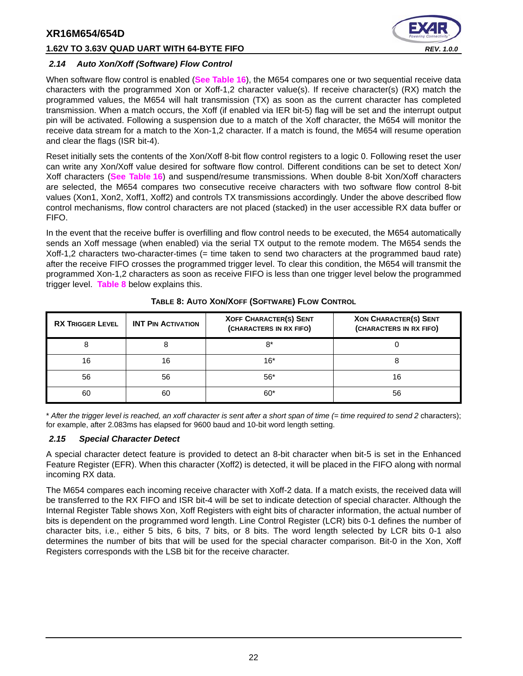#### **1.62V TO 3.63V QUAD UART WITH 64-BYTE FIFO** *REV. 1.0.0*



#### <span id="page-21-1"></span>*2.14 Auto Xon/Xoff (Software) Flow Control*

When software flow control is enabled (**[See Table](#page-38-0) 16**), the M654 compares one or two sequential receive data characters with the programmed Xon or Xoff-1,2 character value(s). If receive character(s) (RX) match the programmed values, the M654 will halt transmission (TX) as soon as the current character has completed transmission. When a match occurs, the Xoff (if enabled via IER bit-5) flag will be set and the interrupt output pin will be activated. Following a suspension due to a match of the Xoff character, the M654 will monitor the receive data stream for a match to the Xon-1,2 character. If a match is found, the M654 will resume operation and clear the flags (ISR bit-4).

Reset initially sets the contents of the Xon/Xoff 8-bit flow control registers to a logic 0. Following reset the user can write any Xon/Xoff value desired for software flow control. Different conditions can be set to detect Xon/ Xoff characters (**[See Table](#page-38-0) 16**) and suspend/resume transmissions. When double 8-bit Xon/Xoff characters are selected, the M654 compares two consecutive receive characters with two software flow control 8-bit values (Xon1, Xon2, Xoff1, Xoff2) and controls TX transmissions accordingly. Under the above described flow control mechanisms, flow control characters are not placed (stacked) in the user accessible RX data buffer or FIFO.

In the event that the receive buffer is overfilling and flow control needs to be executed, the M654 automatically sends an Xoff message (when enabled) via the serial TX output to the remote modem. The M654 sends the Xoff-1,2 characters two-character-times (= time taken to send two characters at the programmed baud rate) after the receive FIFO crosses the programmed trigger level. To clear this condition, the M654 will transmit the programmed Xon-1,2 characters as soon as receive FIFO is less than one trigger level below the programmed trigger level. **[Table](#page-21-0) 8** below explains this.

<span id="page-21-0"></span>

| <b>RX TRIGGER LEVEL</b> | <b>INT PIN ACTIVATION</b> | <b>XOFF CHARACTER(S) SENT</b><br>(CHARACTERS IN RX FIFO) | <b>XON CHARACTER(S) SENT</b><br>(CHARACTERS IN RX FIFO) |
|-------------------------|---------------------------|----------------------------------------------------------|---------------------------------------------------------|
| 8                       | 8                         | 8*                                                       |                                                         |
| 16                      | 16                        | $16*$                                                    |                                                         |
| 56                      | 56                        | $56*$                                                    | 16                                                      |
| 60                      | 60                        | $60*$                                                    | 56                                                      |

#### **TABLE 8: AUTO XON/XOFF (SOFTWARE) FLOW CONTROL**

\* *After the trigger level is reached, an xoff character is sent after a short span of time (= time required to send 2* characters); for example, after 2.083ms has elapsed for 9600 baud and 10-bit word length setting.

#### <span id="page-21-2"></span>*2.15 Special Character Detect*

A special character detect feature is provided to detect an 8-bit character when bit-5 is set in the Enhanced Feature Register (EFR). When this character (Xoff2) is detected, it will be placed in the FIFO along with normal incoming RX data.

The M654 compares each incoming receive character with Xoff-2 data. If a match exists, the received data will be transferred to the RX FIFO and ISR bit-4 will be set to indicate detection of special character. Although the Internal Register Table shows Xon, Xoff Registers with eight bits of character information, the actual number of bits is dependent on the programmed word length. Line Control Register (LCR) bits 0-1 defines the number of character bits, i.e., either 5 bits, 6 bits, 7 bits, or 8 bits. The word length selected by LCR bits 0-1 also determines the number of bits that will be used for the special character comparison. Bit-0 in the Xon, Xoff Registers corresponds with the LSB bit for the receive character.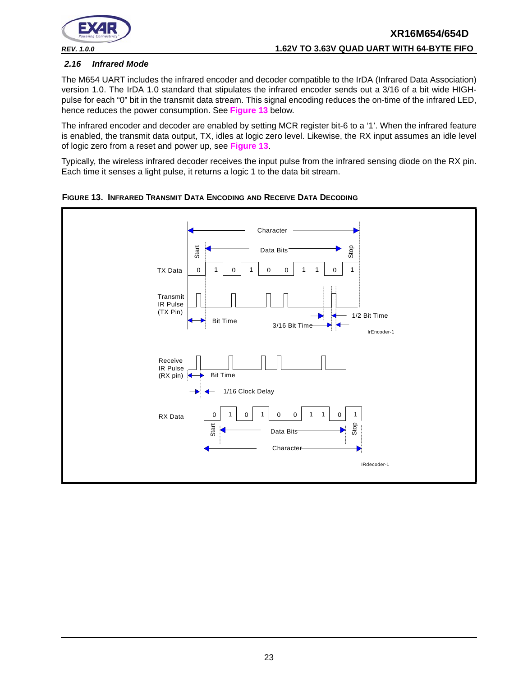

#### <span id="page-22-1"></span>*2.16 Infrared Mode*

The M654 UART includes the infrared encoder and decoder compatible to the IrDA (Infrared Data Association) version 1.0. The IrDA 1.0 standard that stipulates the infrared encoder sends out a 3/16 of a bit wide HIGHpulse for each "0" bit in the transmit data stream. This signal encoding reduces the on-time of the infrared LED, hence reduces the power consumption. See **[Figure](#page-22-0) 13** below.

The infrared encoder and decoder are enabled by setting MCR register bit-6 to a '1'. When the infrared feature is enabled, the transmit data output, TX, idles at logic zero level. Likewise, the RX input assumes an idle level of logic zero from a reset and power up, see **[Figure](#page-22-0) 13**.

Typically, the wireless infrared decoder receives the input pulse from the infrared sensing diode on the RX pin. Each time it senses a light pulse, it returns a logic 1 to the data bit stream.



<span id="page-22-0"></span>**FIGURE 13. INFRARED TRANSMIT DATA ENCODING AND RECEIVE DATA DECODING**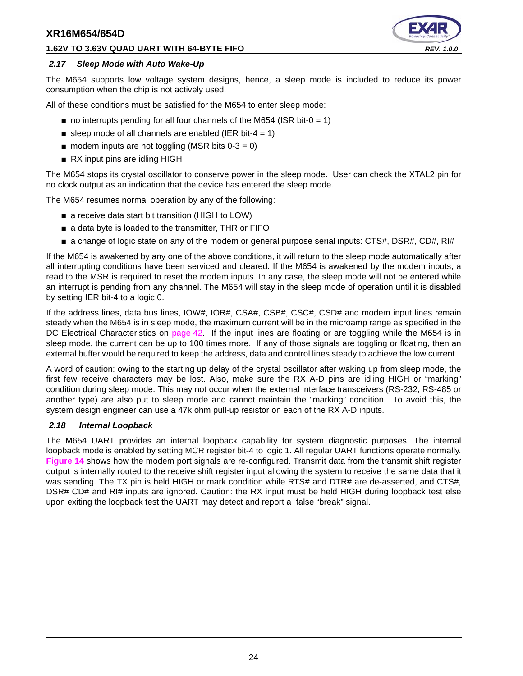#### **1.62V TO 3.63V QUAD UART WITH 64-BYTE FIFO** *REV. 1.0.0*



#### <span id="page-23-0"></span>*2.17 Sleep Mode with Auto Wake-Up*

The M654 supports low voltage system designs, hence, a sleep mode is included to reduce its power consumption when the chip is not actively used.

All of these conditions must be satisfied for the M654 to enter sleep mode:

- $\blacksquare$  no interrupts pending for all four channels of the M654 (ISR bit-0 = 1)
- sleep mode of all channels are enabled (IER bit-4 = 1)
- $\blacksquare$  modem inputs are not toggling (MSR bits 0-3 = 0)
- RX input pins are idling HIGH

The M654 stops its crystal oscillator to conserve power in the sleep mode. User can check the XTAL2 pin for no clock output as an indication that the device has entered the sleep mode.

The M654 resumes normal operation by any of the following:

- a receive data start bit transition (HIGH to LOW)
- a data byte is loaded to the transmitter, THR or FIFO
- a change of logic state on any of the modem or general purpose serial inputs: CTS#, DSR#, CD#, RI#

If the M654 is awakened by any one of the above conditions, it will return to the sleep mode automatically after all interrupting conditions have been serviced and cleared. If the M654 is awakened by the modem inputs, a read to the MSR is required to reset the modem inputs. In any case, the sleep mode will not be entered while an interrupt is pending from any channel. The M654 will stay in the sleep mode of operation until it is disabled by setting IER bit-4 to a logic 0.

If the address lines, data bus lines, IOW#, IOR#, CSA#, CSB#, CSC#, CSD# and modem input lines remain steady when the M654 is in sleep mode, the maximum current will be in the microamp range as specified in the DC Electrical Characteristics on [page](#page-41-0) 42. If the input lines are floating or are toggling while the M654 is in sleep mode, the current can be up to 100 times more. If any of those signals are toggling or floating, then an external buffer would be required to keep the address, data and control lines steady to achieve the low current.

A word of caution: owing to the starting up delay of the crystal oscillator after waking up from sleep mode, the first few receive characters may be lost. Also, make sure the RX A-D pins are idling HIGH or "marking" condition during sleep mode. This may not occur when the external interface transceivers (RS-232, RS-485 or another type) are also put to sleep mode and cannot maintain the "marking" condition. To avoid this, the system design engineer can use a 47k ohm pull-up resistor on each of the RX A-D inputs.

#### <span id="page-23-1"></span>*2.18 Internal Loopback*

The M654 UART provides an internal loopback capability for system diagnostic purposes. The internal loopback mode is enabled by setting MCR register bit-4 to logic 1. All regular UART functions operate normally. **[Figure](#page-24-0) 14** shows how the modem port signals are re-configured. Transmit data from the transmit shift register output is internally routed to the receive shift register input allowing the system to receive the same data that it was sending. The TX pin is held HIGH or mark condition while RTS# and DTR# are de-asserted, and CTS#, DSR# CD# and RI# inputs are ignored. Caution: the RX input must be held HIGH during loopback test else upon exiting the loopback test the UART may detect and report a false "break" signal.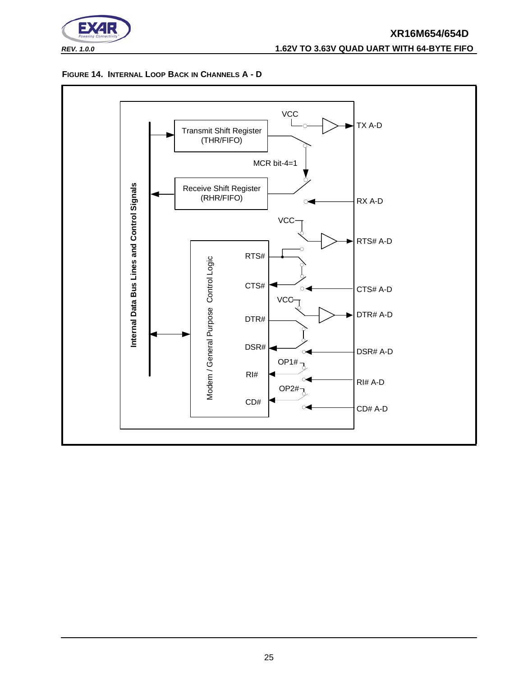

#### *REV. 1.0.0* **1.62V TO 3.63V QUAD UART WITH 64-BYTE FIFO**

#### <span id="page-24-0"></span>**FIGURE 14. INTERNAL LOOP BACK IN CHANNELS A - D**

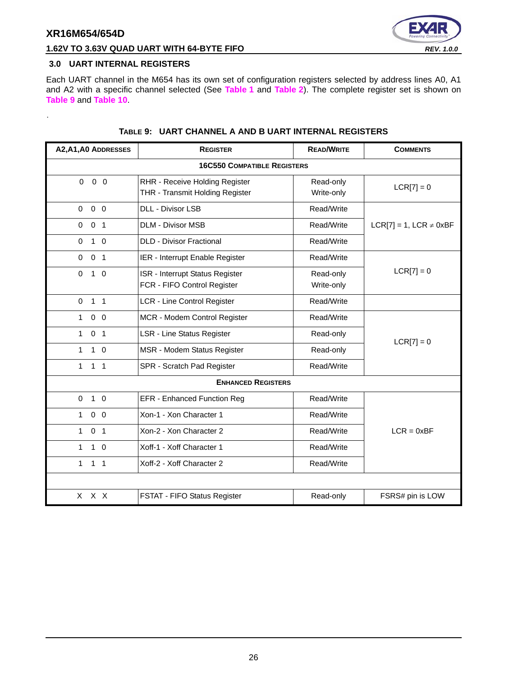<span id="page-25-1"></span>.



#### **1.62V TO 3.63V QUAD UART WITH 64-BYTE FIFO** *REV. 1.0.0*

#### <span id="page-25-0"></span>**3.0 UART INTERNAL REGISTERS**

Each UART channel in the M654 has its own set of configuration registers selected by address lines A0, A1 and A2 with a specific channel selected (See **[Table](#page-12-0) 1** and **[Table](#page-12-1) 2**). The complete register set is shown on **[Table](#page-25-1) 9** and **[Table](#page-26-0) 10**.

| A2, A1, A0 ADDRESSES           | <b>REGISTER</b>                                                   | <b>READ/WRITE</b>       | <b>COMMENTS</b>                |  |  |  |  |  |  |
|--------------------------------|-------------------------------------------------------------------|-------------------------|--------------------------------|--|--|--|--|--|--|
|                                | <b>16C550 COMPATIBLE REGISTERS</b>                                |                         |                                |  |  |  |  |  |  |
| $0\quad 0$<br>$\Omega$         | RHR - Receive Holding Register<br>THR - Transmit Holding Register | $LCR[7] = 0$            |                                |  |  |  |  |  |  |
| $0\quad 0$<br>$\mathbf 0$      | <b>DLL - Divisor LSB</b>                                          | Read/Write              |                                |  |  |  |  |  |  |
| 0 <sub>1</sub><br>$\Omega$     | <b>DLM - Divisor MSB</b>                                          | Read/Write              | $LCR[7] = 1$ , $LCR \neq 0xBF$ |  |  |  |  |  |  |
| $1\quad$ 0<br>$\Omega$         | <b>DLD - Divisor Fractional</b>                                   | Read/Write              |                                |  |  |  |  |  |  |
| $\pmb{0}$<br>0 <sub>1</sub>    | IER - Interrupt Enable Register                                   | Read/Write              |                                |  |  |  |  |  |  |
| $\Omega$<br>$1\quad$ 0         | ISR - Interrupt Status Register<br>FCR - FIFO Control Register    | Read-only<br>Write-only | $LCR[7] = 0$                   |  |  |  |  |  |  |
| 1 <sub>1</sub><br>$\mathbf 0$  | <b>LCR - Line Control Register</b>                                | Read/Write              |                                |  |  |  |  |  |  |
| $0\quad 0$<br>1                | MCR - Modem Control Register                                      | Read/Write              |                                |  |  |  |  |  |  |
| 0 <sub>1</sub><br>$\mathbf{1}$ | LSR - Line Status Register                                        | Read-only               | $LCR[7] = 0$                   |  |  |  |  |  |  |
| $\mathbf{1}$<br>$1\quad$ 0     | MSR - Modem Status Register<br>Read-only                          |                         |                                |  |  |  |  |  |  |
| 1<br>1 <sub>1</sub>            | SPR - Scratch Pad Register                                        | Read/Write              |                                |  |  |  |  |  |  |
|                                | <b>ENHANCED REGISTERS</b>                                         |                         |                                |  |  |  |  |  |  |
| $\mathbf 0$<br>$1\quad 0$      | <b>EFR - Enhanced Function Reg</b>                                | Read/Write              |                                |  |  |  |  |  |  |
| $0\quad 0$<br>1                | Xon-1 - Xon Character 1                                           | Read/Write              |                                |  |  |  |  |  |  |
| 0 <sub>1</sub><br>$\mathbf{1}$ | Xon-2 - Xon Character 2                                           | Read/Write              | $LCR = 0xBF$                   |  |  |  |  |  |  |
| $1\quad$ 0<br>1                | Xoff-1 - Xoff Character 1<br>Read/Write                           |                         |                                |  |  |  |  |  |  |
| $\mathbf{1}$<br>1 <sub>1</sub> | Xoff-2 - Xoff Character 2                                         | Read/Write              |                                |  |  |  |  |  |  |
|                                |                                                                   |                         |                                |  |  |  |  |  |  |
| X X X                          | FSTAT - FIFO Status Register                                      | Read-only               | FSRS# pin is LOW               |  |  |  |  |  |  |

#### **TABLE 9: UART CHANNEL A AND B UART INTERNAL REGISTERS**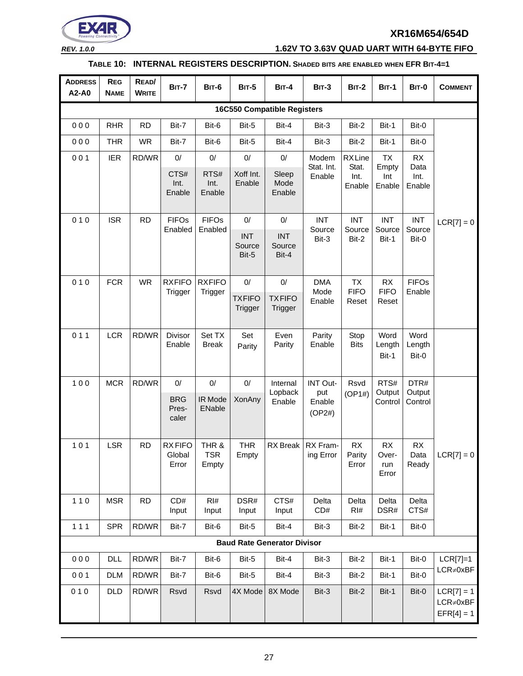

*REV. 1.0.0* **1.62V TO 3.63V QUAD UART WITH 64-BYTE FIFO**

#### **TABLE 10: INTERNAL REGISTERS DESCRIPTION. SHADED BITS ARE ENABLED WHEN EFR BIT-4=1**

<span id="page-26-0"></span>

| <b>ADDRESS</b><br>A2-A0            | <b>REG</b><br><b>NAME</b> | READ/<br><b>WRITE</b> | <b>BIT-7</b>                     | <b>BIT-6</b>                 | <b>BIT-5</b>                  | <b>BIT-4</b>                       | <b>BIT-3</b>            | <b>BIT-2</b>            | <b>BIT-1</b>                       | <b>BIT-0</b>            | <b>COMMENT</b>                                  |
|------------------------------------|---------------------------|-----------------------|----------------------------------|------------------------------|-------------------------------|------------------------------------|-------------------------|-------------------------|------------------------------------|-------------------------|-------------------------------------------------|
| <b>16C550 Compatible Registers</b> |                           |                       |                                  |                              |                               |                                    |                         |                         |                                    |                         |                                                 |
| 000                                | <b>RHR</b>                | <b>RD</b>             | Bit-7                            | Bit-6                        | Bit-5                         | Bit-4                              | Bit-3                   | Bit-2                   | Bit-1                              | Bit-0                   |                                                 |
| 000                                | <b>THR</b>                | <b>WR</b>             | Bit-7                            | Bit-6                        | Bit-5                         | Bit-4                              | Bit-3                   | Bit-2                   | Bit-1                              | Bit-0                   |                                                 |
| 001                                | <b>IER</b>                | RD/WR                 | $0/$                             | $0/$                         | $0/$                          | $0/$                               | Modem                   | <b>RXLine</b>           | <b>TX</b>                          | RX                      |                                                 |
|                                    |                           |                       | CTS#<br>Int.<br>Enable           | RTS#<br>Int.<br>Enable       | Xoff Int.<br>Enable           | Sleep<br>Mode<br>Enable            | Stat. Int.<br>Enable    | Stat.<br>Int.<br>Enable | Empty<br>Int<br>Enable             | Data<br>Int.<br>Enable  |                                                 |
| 010                                | <b>ISR</b>                | <b>RD</b>             | <b>FIFOs</b>                     | <b>FIFOs</b>                 | 0/                            | $0/$                               | <b>INT</b>              | <b>INT</b>              | <b>INT</b>                         | <b>INT</b>              | $LCR[7] = 0$                                    |
|                                    |                           |                       | Enabled                          | Enabled                      | <b>INT</b><br>Source<br>Bit-5 | <b>INT</b><br>Source<br>Bit-4      | Source<br>Bit-3         | Source<br>Bit-2         | Source<br>Bit-1                    | Source<br>Bit-0         |                                                 |
| 010                                | <b>FCR</b>                | <b>WR</b>             | <b>RXFIFO</b>                    | <b>RXFIFO</b>                | $0/$                          | $0/$                               | <b>DMA</b>              | <b>TX</b>               | RX                                 | <b>FIFOs</b>            |                                                 |
|                                    |                           |                       | Trigger                          | Trigger                      | <b>TXFIFO</b><br>Trigger      | <b>TXFIFO</b><br><b>Trigger</b>    | Mode<br>Enable          | <b>FIFO</b><br>Reset    | <b>FIFO</b><br>Reset               | Enable                  |                                                 |
| 011                                | <b>LCR</b>                | RD/WR                 | Divisor<br>Enable                | Set TX<br><b>Break</b>       | Set<br>Parity                 | Even<br>Parity                     | Parity<br>Enable        | Stop<br><b>Bits</b>     | Word<br>Length<br>Bit-1            | Word<br>Length<br>Bit-0 |                                                 |
| 100                                | <b>MCR</b>                | RD/WR                 | 0/                               | $0/$                         | 0/                            | Internal                           | <b>INT Out-</b>         | Rsvd                    | RTS#                               | DTR#                    |                                                 |
|                                    |                           |                       | <b>BRG</b><br>Pres-<br>caler     | IR Mode<br>ENable            | <b>XonAny</b>                 | Lopback<br>Enable                  | put<br>Enable<br>(OP2#) | (OP1#)                  | Output<br>Control                  | Output<br>Control       |                                                 |
| $101$                              | <b>LSR</b>                | <b>RD</b>             | <b>RXFIFO</b><br>Global<br>Error | THR &<br><b>TSR</b><br>Empty | <b>THR</b><br>Empty           | RX Break                           | RX Fram-<br>ing Error   | RX<br>Parity<br>Error   | <b>RX</b><br>Over-<br>run<br>Error | RX<br>Data<br>Ready     | $LCR[7] = 0$                                    |
| $110$                              | <b>MSR</b>                | <b>RD</b>             | CD#<br>Input                     | RI#<br>Input                 | DSR#<br>Input                 | CTS#<br>Input                      | Delta<br>CD#            | Delta<br>RI#            | Delta<br>DSR#                      | Delta<br>CTS#           |                                                 |
| 111                                | <b>SPR</b>                | RD/WR                 | Bit-7                            | Bit-6                        | Bit-5                         | Bit-4                              | Bit-3                   | Bit-2                   | Bit-1                              | Bit-0                   |                                                 |
|                                    |                           |                       |                                  |                              |                               | <b>Baud Rate Generator Divisor</b> |                         |                         |                                    |                         |                                                 |
| 000                                | DLL                       | RD/WR                 | Bit-7                            | Bit-6                        | Bit-5                         | Bit-4                              | Bit-3                   | Bit-2                   | Bit-1                              | Bit-0                   | $LCR[7]=1$                                      |
| 001                                | <b>DLM</b>                | RD/WR                 | Bit-7                            | Bit-6                        | Bit-5                         | Bit-4                              | Bit-3                   | Bit-2                   | Bit-1                              | Bit-0                   | $LCR \neq 0xBF$                                 |
| 010                                | <b>DLD</b>                | RD/WR                 | Rsvd                             | Rsvd                         | 4X Mode                       | 8X Mode                            | Bit-3                   | Bit-2                   | Bit-1                              | Bit-0                   | $LCR[7] = 1$<br>$LCR \neq 0xBF$<br>$EFR[4] = 1$ |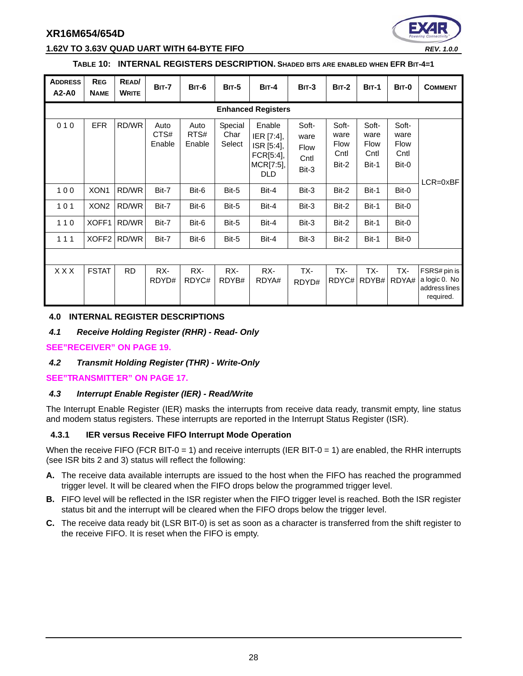

#### **1.62V TO 3.63V QUAD UART WITH 64-BYTE FIFO** *REV. 1.0.0*

#### **TABLE 10: INTERNAL REGISTERS DESCRIPTION. SHADED BITS ARE ENABLED WHEN EFR BIT-4=1**

| <b>ADDRESS</b><br>A2-A0 | <b>REG</b><br><b>NAME</b> | READ/<br><b>WRITE</b> | <b>BIT-7</b>           | <b>BIT-6</b>           | <b>BIT-5</b>              | $BIT-4$                                                                    | <b>BIT-3</b>                                  | <b>BIT-2</b>                                  | <b>BIT-1</b>                           | BIT-0                                         | <b>COMMENT</b>                                              |
|-------------------------|---------------------------|-----------------------|------------------------|------------------------|---------------------------|----------------------------------------------------------------------------|-----------------------------------------------|-----------------------------------------------|----------------------------------------|-----------------------------------------------|-------------------------------------------------------------|
|                         |                           |                       |                        |                        |                           | <b>Enhanced Registers</b>                                                  |                                               |                                               |                                        |                                               |                                                             |
| 010                     | <b>EFR</b>                | RD/WR                 | Auto<br>CTS#<br>Enable | Auto<br>RTS#<br>Enable | Special<br>Char<br>Select | Enable<br>IER [7:4],<br>ISR [5:4],<br>FCR[5:4],<br>MCR[7:5],<br><b>DLD</b> | Soft-<br>ware<br><b>Flow</b><br>Cntl<br>Bit-3 | Soft-<br>ware<br><b>Flow</b><br>Cntl<br>Bit-2 | Soft-<br>ware<br>Flow<br>Cntl<br>Bit-1 | Soft-<br>ware<br><b>Flow</b><br>Cntl<br>Bit-0 | $LCR = 0 \times BF$                                         |
| 100                     | XON <sub>1</sub>          | RD/WR                 | Bit-7                  | Bit-6                  | Bit-5                     | Bit-4                                                                      | Bit-3                                         | Bit-2                                         | Bit-1                                  | Bit-0                                         |                                                             |
| 101                     | XON <sub>2</sub>          | RD/WR                 | Bit-7                  | Bit-6                  | Bit-5                     | Bit-4                                                                      | Bit-3                                         | Bit-2                                         | Bit-1                                  | Bit-0                                         |                                                             |
| 110                     | XOFF1                     | RD/WR                 | Bit-7                  | Bit-6                  | Bit-5                     | Bit-4                                                                      | Bit-3                                         | Bit-2                                         | Bit-1                                  | Bit-0                                         |                                                             |
| 111                     | XOFF <sub>2</sub>         | RD/WR                 | Bit-7                  | Bit-6                  | Bit-5                     | Bit-4                                                                      | Bit-3                                         | Bit-2                                         | Bit-1                                  | Bit-0                                         |                                                             |
|                         |                           |                       |                        |                        |                           |                                                                            |                                               |                                               |                                        |                                               |                                                             |
| <b>XXX</b>              | <b>FSTAT</b>              | <b>RD</b>             | RX-<br>RDYD#           | RX-<br>RDYC#           | RX-<br>RDYB#              | RX-<br>RDYA#                                                               | TX-<br>RDYD#                                  | TX-<br>RDYC#                                  | TX-<br>RDYB#                           | TX-<br>RDYA#                                  | FSRS# pin is<br>a logic 0. No<br>address lines<br>required. |

#### <span id="page-27-0"></span>**4.0 INTERNAL REGISTER DESCRIPTIONS**

#### <span id="page-27-1"></span>*4.1 Receive Holding Register (RHR) - Read- Only*

#### **[SEE"RECEIVER" ON PAGE](#page-18-1) 19.**

#### <span id="page-27-2"></span>*4.2 Transmit Holding Register (THR) - Write-Only*

#### **[SEE"TRANSMITTER" ON PAGE](#page-16-1) 17.**

#### <span id="page-27-3"></span>*4.3 Interrupt Enable Register (IER) - Read/Write*

The Interrupt Enable Register (IER) masks the interrupts from receive data ready, transmit empty, line status and modem status registers. These interrupts are reported in the Interrupt Status Register (ISR).

#### <span id="page-27-4"></span>**4.3.1 IER versus Receive FIFO Interrupt Mode Operation**

When the receive FIFO (FCR BIT-0 = 1) and receive interrupts (IER BIT-0 = 1) are enabled, the RHR interrupts (see ISR bits 2 and 3) status will reflect the following:

- **A.** The receive data available interrupts are issued to the host when the FIFO has reached the programmed trigger level. It will be cleared when the FIFO drops below the programmed trigger level.
- **B.** FIFO level will be reflected in the ISR register when the FIFO trigger level is reached. Both the ISR register status bit and the interrupt will be cleared when the FIFO drops below the trigger level.
- **C.** The receive data ready bit (LSR BIT-0) is set as soon as a character is transferred from the shift register to the receive FIFO. It is reset when the FIFO is empty.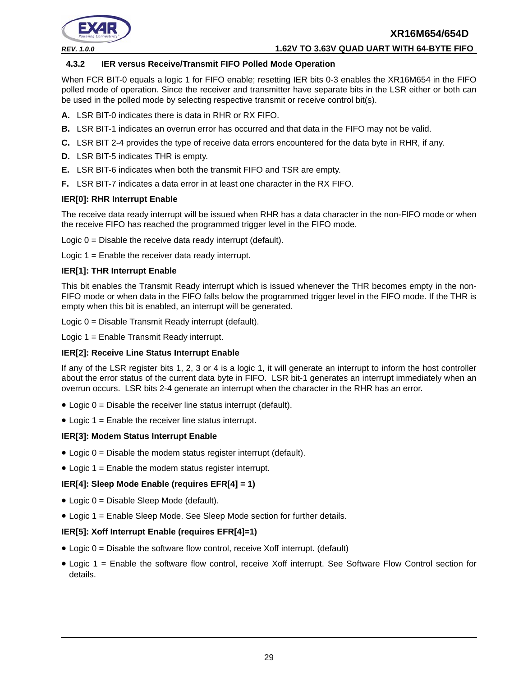#### *REV. 1.0.0* **1.62V TO 3.63V QUAD UART WITH 64-BYTE FIFO**

#### <span id="page-28-0"></span>**4.3.2 IER versus Receive/Transmit FIFO Polled Mode Operation**

When FCR BIT-0 equals a logic 1 for FIFO enable; resetting IER bits 0-3 enables the XR16M654 in the FIFO polled mode of operation. Since the receiver and transmitter have separate bits in the LSR either or both can be used in the polled mode by selecting respective transmit or receive control bit(s).

- **A.** LSR BIT-0 indicates there is data in RHR or RX FIFO.
- **B.** LSR BIT-1 indicates an overrun error has occurred and that data in the FIFO may not be valid.
- **C.** LSR BIT 2-4 provides the type of receive data errors encountered for the data byte in RHR, if any.
- **D.** LSR BIT-5 indicates THR is empty.
- **E.** LSR BIT-6 indicates when both the transmit FIFO and TSR are empty.
- **F.** LSR BIT-7 indicates a data error in at least one character in the RX FIFO.

#### **IER[0]: RHR Interrupt Enable**

The receive data ready interrupt will be issued when RHR has a data character in the non-FIFO mode or when the receive FIFO has reached the programmed trigger level in the FIFO mode.

Logic  $0 =$  Disable the receive data ready interrupt (default).

Logic 1 = Enable the receiver data ready interrupt.

#### **IER[1]: THR Interrupt Enable**

This bit enables the Transmit Ready interrupt which is issued whenever the THR becomes empty in the non-FIFO mode or when data in the FIFO falls below the programmed trigger level in the FIFO mode. If the THR is empty when this bit is enabled, an interrupt will be generated.

Logic 0 = Disable Transmit Ready interrupt (default).

Logic 1 = Enable Transmit Ready interrupt.

#### **IER[2]: Receive Line Status Interrupt Enable**

If any of the LSR register bits 1, 2, 3 or 4 is a logic 1, it will generate an interrupt to inform the host controller about the error status of the current data byte in FIFO. LSR bit-1 generates an interrupt immediately when an overrun occurs. LSR bits 2-4 generate an interrupt when the character in the RHR has an error.

- $\bullet$  Logic  $0 =$  Disable the receiver line status interrupt (default).
- Logic 1 = Enable the receiver line status interrupt.

#### **IER[3]: Modem Status Interrupt Enable**

- $\bullet$  Logic  $0 =$  Disable the modem status register interrupt (default).
- Logic  $1 =$  Enable the modem status register interrupt.

#### **IER[4]: Sleep Mode Enable (requires EFR[4] = 1)**

- Logic 0 = Disable Sleep Mode (default).
- Logic 1 = Enable Sleep Mode. See Sleep Mode section for further details.

#### **IER[5]: Xoff Interrupt Enable (requires EFR[4]=1)**

- $\bullet$  Logic  $0 =$  Disable the software flow control, receive Xoff interrupt. (default)
- Logic 1 = Enable the software flow control, receive Xoff interrupt. See Software Flow Control section for details.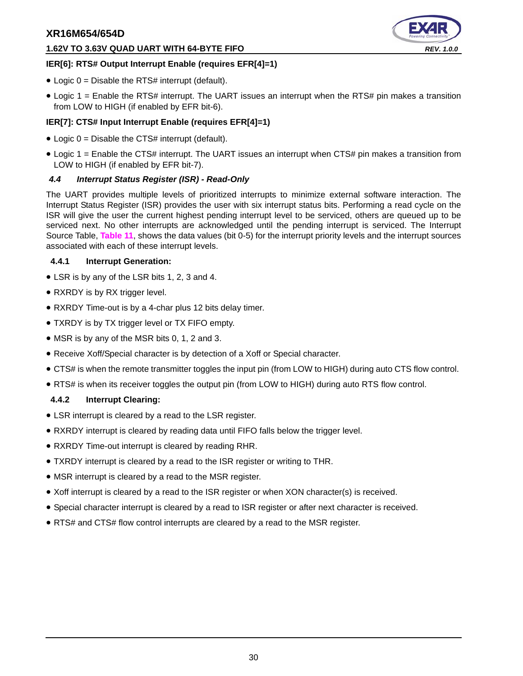#### **1.62V TO 3.63V QUAD UART WITH 64-BYTE FIFO** *REV. 1.0.0*



#### **IER[6]: RTS# Output Interrupt Enable (requires EFR[4]=1)**

- $\bullet$  Logic 0 = Disable the RTS# interrupt (default).
- Logic 1 = Enable the RTS# interrupt. The UART issues an interrupt when the RTS# pin makes a transition from LOW to HIGH (if enabled by EFR bit-6).

#### **IER[7]: CTS# Input Interrupt Enable (requires EFR[4]=1)**

- $\bullet$  Logic 0 = Disable the CTS# interrupt (default).
- Logic 1 = Enable the CTS# interrupt. The UART issues an interrupt when CTS# pin makes a transition from LOW to HIGH (if enabled by EFR bit-7).

#### <span id="page-29-0"></span>*4.4 Interrupt Status Register (ISR) - Read-Only*

The UART provides multiple levels of prioritized interrupts to minimize external software interaction. The Interrupt Status Register (ISR) provides the user with six interrupt status bits. Performing a read cycle on the ISR will give the user the current highest pending interrupt level to be serviced, others are queued up to be serviced next. No other interrupts are acknowledged until the pending interrupt is serviced. The Interrupt Source Table, **[Table](#page-30-0) 11**, shows the data values (bit 0-5) for the interrupt priority levels and the interrupt sources associated with each of these interrupt levels.

#### <span id="page-29-1"></span>**4.4.1 Interrupt Generation:**

- LSR is by any of the LSR bits 1, 2, 3 and 4.
- RXRDY is by RX trigger level.
- RXRDY Time-out is by a 4-char plus 12 bits delay timer.
- TXRDY is by TX trigger level or TX FIFO empty.
- MSR is by any of the MSR bits 0, 1, 2 and 3.
- Receive Xoff/Special character is by detection of a Xoff or Special character.
- CTS# is when the remote transmitter toggles the input pin (from LOW to HIGH) during auto CTS flow control.
- RTS# is when its receiver toggles the output pin (from LOW to HIGH) during auto RTS flow control.

#### <span id="page-29-2"></span>**4.4.2 Interrupt Clearing:**

- LSR interrupt is cleared by a read to the LSR register.
- RXRDY interrupt is cleared by reading data until FIFO falls below the trigger level.
- RXRDY Time-out interrupt is cleared by reading RHR.
- TXRDY interrupt is cleared by a read to the ISR register or writing to THR.
- MSR interrupt is cleared by a read to the MSR register.
- Xoff interrupt is cleared by a read to the ISR register or when XON character(s) is received.
- Special character interrupt is cleared by a read to ISR register or after next character is received.
- RTS# and CTS# flow control interrupts are cleared by a read to the MSR register.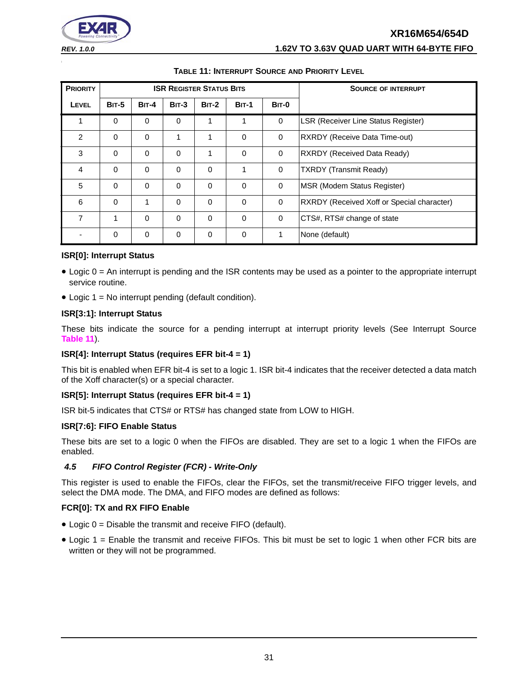| <b>REV. 1.0.0</b> | 1.62V TO 3.63V QUAD UART WITH 64-BYTE FIFO |
|-------------------|--------------------------------------------|

<span id="page-30-0"></span>

|                 | IADLL III INTERRUT I OOOROL AND I RORIT LEEVEL |              |             |                                 |              |                            |                                            |  |  |
|-----------------|------------------------------------------------|--------------|-------------|---------------------------------|--------------|----------------------------|--------------------------------------------|--|--|
| <b>PRIORITY</b> |                                                |              |             | <b>ISR REGISTER STATUS BITS</b> |              | <b>SOURCE OF INTERRUPT</b> |                                            |  |  |
| LEVEL           | <b>BIT-5</b>                                   | <b>BIT-4</b> | $BIT-3$     | <b>BIT-2</b>                    | <b>BIT-1</b> | BIT-0                      |                                            |  |  |
| 1               | $\Omega$                                       | $\Omega$     | $\mathbf 0$ | 1                               |              | $\mathbf 0$                | <b>LSR (Receiver Line Status Register)</b> |  |  |
| $\overline{2}$  | $\Omega$                                       | $\Omega$     | 1           | 1                               | $\mathbf 0$  | $\mathbf 0$                | RXRDY (Receive Data Time-out)              |  |  |
| 3               | $\Omega$                                       | $\Omega$     | $\Omega$    | 1                               | $\Omega$     | $\Omega$                   | RXRDY (Received Data Ready)                |  |  |
| 4               | $\Omega$                                       | $\Omega$     | $\Omega$    | $\Omega$                        | 1            | $\Omega$                   | <b>TXRDY (Transmit Ready)</b>              |  |  |
| 5               | 0                                              | $\Omega$     | $\mathbf 0$ | $\Omega$                        | $\mathbf 0$  | $\mathbf 0$                | <b>IMSR (Modem Status Register)</b>        |  |  |
| 6               | $\Omega$                                       |              | $\Omega$    | $\Omega$                        | $\Omega$     | $\Omega$                   | RXRDY (Received Xoff or Special character) |  |  |
| 7               | 1                                              | $\Omega$     | $\Omega$    | $\Omega$                        | $\Omega$     | $\Omega$                   | CTS#, RTS# change of state                 |  |  |
|                 | 0                                              | 0            | $\mathbf 0$ | 0                               | $\mathbf 0$  |                            | None (default)                             |  |  |

#### **TABLE 11: INTERRUPT SOURCE AND PRIORITY LEVEL**

#### **ISR[0]: Interrupt Status**

- Logic 0 = An interrupt is pending and the ISR contents may be used as a pointer to the appropriate interrupt service routine.
- Logic 1 = No interrupt pending (default condition).

#### **ISR[3:1]: Interrupt Status**

These bits indicate the source for a pending interrupt at interrupt priority levels (See Interrupt Source **[Table](#page-30-0) 11**).

#### **ISR[4]: Interrupt Status (requires EFR bit-4 = 1)**

This bit is enabled when EFR bit-4 is set to a logic 1. ISR bit-4 indicates that the receiver detected a data match of the Xoff character(s) or a special character.

#### **ISR[5]: Interrupt Status (requires EFR bit-4 = 1)**

ISR bit-5 indicates that CTS# or RTS# has changed state from LOW to HIGH.

#### **ISR[7:6]: FIFO Enable Status**

These bits are set to a logic 0 when the FIFOs are disabled. They are set to a logic 1 when the FIFOs are enabled.

#### <span id="page-30-1"></span>*4.5 FIFO Control Register (FCR) - Write-Only*

This register is used to enable the FIFOs, clear the FIFOs, set the transmit/receive FIFO trigger levels, and select the DMA mode. The DMA, and FIFO modes are defined as follows:

#### **FCR[0]: TX and RX FIFO Enable**

- Logic 0 = Disable the transmit and receive FIFO (default).
- Logic 1 = Enable the transmit and receive FIFOs. This bit must be set to logic 1 when other FCR bits are written or they will not be programmed.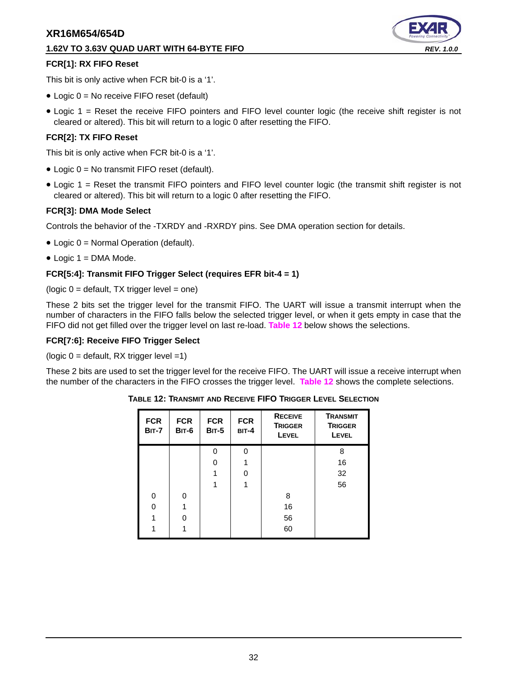#### **1.62V TO 3.63V QUAD UART WITH 64-BYTE FIFO** *REV. 1.0.0*



#### **FCR[1]: RX FIFO Reset**

This bit is only active when FCR bit-0 is a '1'.

- Logic 0 = No receive FIFO reset (default)
- Logic 1 = Reset the receive FIFO pointers and FIFO level counter logic (the receive shift register is not cleared or altered). This bit will return to a logic 0 after resetting the FIFO.

#### **FCR[2]: TX FIFO Reset**

This bit is only active when FCR bit-0 is a '1'.

- Logic 0 = No transmit FIFO reset (default).
- Logic 1 = Reset the transmit FIFO pointers and FIFO level counter logic (the transmit shift register is not cleared or altered). This bit will return to a logic 0 after resetting the FIFO.

#### **FCR[3]: DMA Mode Select**

Controls the behavior of the -TXRDY and -RXRDY pins. See DMA operation section for details.

- Logic 0 = Normal Operation (default).
- $\bullet$  Logic 1 = DMA Mode.

#### **FCR[5:4]: Transmit FIFO Trigger Select (requires EFR bit-4 = 1)**

 $(logic 0 = default, TX trigger level = one)$ 

These 2 bits set the trigger level for the transmit FIFO. The UART will issue a transmit interrupt when the number of characters in the FIFO falls below the selected trigger level, or when it gets empty in case that the FIFO did not get filled over the trigger level on last re-load. **[Table](#page-31-0) 12** below shows the selections.

#### **FCR[7:6]: Receive FIFO Trigger Select**

( $logic 0 =$  default, RX trigger level =1)

<span id="page-31-0"></span>These 2 bits are used to set the trigger level for the receive FIFO. The UART will issue a receive interrupt when the number of the characters in the FIFO crosses the trigger level. **[Table](#page-31-0) 12** shows the complete selections.

| <b>FCR</b><br><b>BIT-7</b> | <b>FCR</b><br><b>BIT-6</b> | <b>FCR</b><br><b>BIT-5</b> | <b>FCR</b><br><b>BIT-4</b> | <b>RECEIVE</b><br><b>TRIGGER</b><br><b>LEVEL</b> | <b>TRANSMIT</b><br><b>TRIGGER</b><br><b>LEVEL</b> |
|----------------------------|----------------------------|----------------------------|----------------------------|--------------------------------------------------|---------------------------------------------------|
|                            |                            | $\Omega$                   | 0                          |                                                  | 8                                                 |
|                            |                            | O                          |                            |                                                  | 16                                                |
|                            |                            |                            | O                          |                                                  | 32                                                |
|                            |                            |                            | 1                          |                                                  | 56                                                |
| $\Omega$                   | $\Omega$                   |                            |                            | 8                                                |                                                   |
| U                          |                            |                            |                            | 16                                               |                                                   |
|                            | U                          |                            |                            | 56                                               |                                                   |
|                            |                            |                            |                            | 60                                               |                                                   |

**TABLE 12: TRANSMIT AND RECEIVE FIFO TRIGGER LEVEL SELECTION**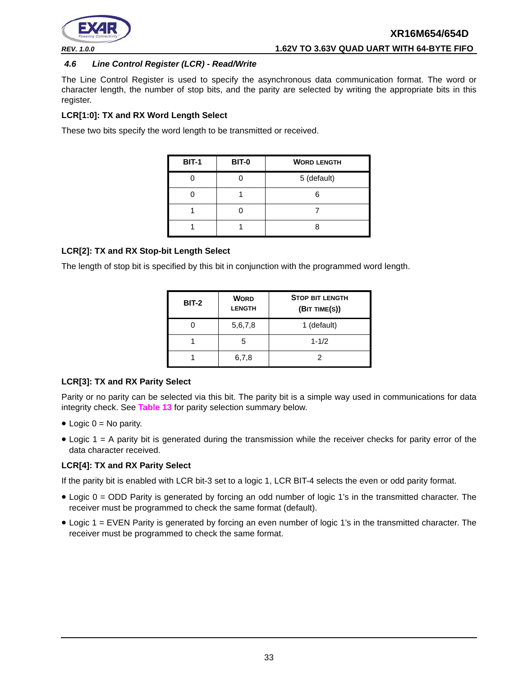

#### <span id="page-32-0"></span>*4.6 Line Control Register (LCR) - Read/Write*

The Line Control Register is used to specify the asynchronous data communication format. The word or character length, the number of stop bits, and the parity are selected by writing the appropriate bits in this register.

#### **LCR[1:0]: TX and RX Word Length Select**

These two bits specify the word length to be transmitted or received.

| <b>BIT-1</b> | BIT-0 | <b>WORD LENGTH</b> |
|--------------|-------|--------------------|
|              |       | 5 (default)        |
|              |       |                    |
|              |       |                    |
|              |       |                    |

#### **LCR[2]: TX and RX Stop-bit Length Select**

The length of stop bit is specified by this bit in conjunction with the programmed word length.

| <b>BIT-2</b> | <b>WORD</b><br><b>LENGTH</b> | <b>STOP BIT LENGTH</b><br>(BIT TIME(S)) |
|--------------|------------------------------|-----------------------------------------|
|              | 5,6,7,8                      | 1 (default)                             |
|              | 5                            | $1 - 1/2$                               |
|              | 6,7,8                        |                                         |

#### **LCR[3]: TX and RX Parity Select**

Parity or no parity can be selected via this bit. The parity bit is a simple way used in communications for data integrity check. See **[Table](#page-33-0) 13** for parity selection summary below.

- $\bullet$  Logic 0 = No parity.
- Logic 1 = A parity bit is generated during the transmission while the receiver checks for parity error of the data character received.

#### **LCR[4]: TX and RX Parity Select**

If the parity bit is enabled with LCR bit-3 set to a logic 1, LCR BIT-4 selects the even or odd parity format.

- Logic 0 = ODD Parity is generated by forcing an odd number of logic 1's in the transmitted character. The receiver must be programmed to check the same format (default).
- Logic 1 = EVEN Parity is generated by forcing an even number of logic 1's in the transmitted character. The receiver must be programmed to check the same format.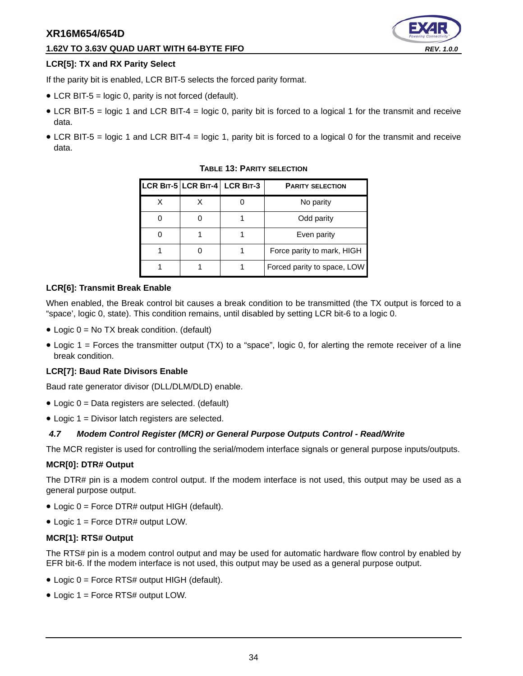#### **1.62V TO 3.63V QUAD UART WITH 64-BYTE FIFO** *REV. 1.0.0*

#### **LCR[5]: TX and RX Parity Select**

If the parity bit is enabled, LCR BIT-5 selects the forced parity format.

- LCR BIT-5 = logic 0, parity is not forced (default).
- LCR BIT-5 = logic 1 and LCR BIT-4 = logic 0, parity bit is forced to a logical 1 for the transmit and receive data.
- <span id="page-33-0"></span>• LCR BIT-5 = logic 1 and LCR BIT-4 = logic 1, parity bit is forced to a logical 0 for the transmit and receive data.

|  | LCR BIT-5 LCR BIT-4 LCR BIT-3 | <b>PARITY SELECTION</b>     |
|--|-------------------------------|-----------------------------|
|  |                               | No parity                   |
|  |                               | Odd parity                  |
|  |                               | Even parity                 |
|  |                               | Force parity to mark, HIGH  |
|  |                               | Forced parity to space, LOW |

#### **TABLE 13: PARITY SELECTION**

#### **LCR[6]: Transmit Break Enable**

When enabled, the Break control bit causes a break condition to be transmitted (the TX output is forced to a "space', logic 0, state). This condition remains, until disabled by setting LCR bit-6 to a logic 0.

- Logic 0 = No TX break condition. (default)
- Logic  $1 =$  Forces the transmitter output (TX) to a "space", logic 0, for alerting the remote receiver of a line break condition.

#### **LCR[7]: Baud Rate Divisors Enable**

Baud rate generator divisor (DLL/DLM/DLD) enable.

- Logic 0 = Data registers are selected. (default)
- Logic 1 = Divisor latch registers are selected.

#### <span id="page-33-1"></span>*4.7 Modem Control Register (MCR) or General Purpose Outputs Control - Read/Write*

The MCR register is used for controlling the serial/modem interface signals or general purpose inputs/outputs.

#### **MCR[0]: DTR# Output**

The DTR# pin is a modem control output. If the modem interface is not used, this output may be used as a general purpose output.

- Logic 0 = Force DTR# output HIGH (default).
- Logic 1 = Force DTR# output LOW.

#### **MCR[1]: RTS# Output**

The RTS# pin is a modem control output and may be used for automatic hardware flow control by enabled by EFR bit-6. If the modem interface is not used, this output may be used as a general purpose output.

- Logic 0 = Force RTS# output HIGH (default).
- Logic 1 = Force RTS# output LOW.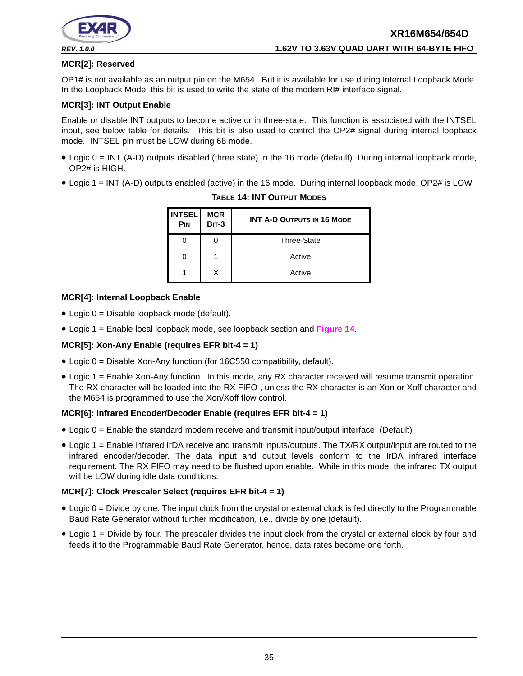

#### **MCR[2]: Reserved**

OP1# is not available as an output pin on the M654. But it is available for use during Internal Loopback Mode. In the Loopback Mode, this bit is used to write the state of the modem RI# interface signal.

#### **MCR[3]: INT Output Enable**

Enable or disable INT outputs to become active or in three-state. This function is associated with the INTSEL input, see below table for details. This bit is also used to control the OP2# signal during internal loopback mode. INTSEL pin must be LOW during 68 mode.

- Logic 0 = INT (A-D) outputs disabled (three state) in the 16 mode (default). During internal loopback mode, OP2# is HIGH.
- <span id="page-34-0"></span>• Logic 1 = INT (A-D) outputs enabled (active) in the 16 mode. During internal loopback mode, OP2# is LOW.

| <b>INTSEL</b><br><b>PIN</b> | <b>MCR</b><br><b>BIT-3</b> | <b>INT A-D OUTPUTS IN 16 MODE</b> |
|-----------------------------|----------------------------|-----------------------------------|
|                             |                            | <b>Three-State</b>                |
|                             |                            | Active                            |
|                             | x                          | Active                            |

#### **TABLE 14: INT OUTPUT MODES**

#### **MCR[4]: Internal Loopback Enable**

- Logic 0 = Disable loopback mode (default).
- Logic 1 = Enable local loopback mode, see loopback section and **[Figure](#page-24-0) 14**.

#### **MCR[5]: Xon-Any Enable (requires EFR bit-4 = 1)**

- Logic 0 = Disable Xon-Any function (for 16C550 compatibility, default).
- Logic 1 = Enable Xon-Any function. In this mode, any RX character received will resume transmit operation. The RX character will be loaded into the RX FIFO , unless the RX character is an Xon or Xoff character and the M654 is programmed to use the Xon/Xoff flow control.

#### **MCR[6]: Infrared Encoder/Decoder Enable (requires EFR bit-4 = 1)**

- Logic 0 = Enable the standard modem receive and transmit input/output interface. (Default)
- Logic 1 = Enable infrared IrDA receive and transmit inputs/outputs. The TX/RX output/input are routed to the infrared encoder/decoder. The data input and output levels conform to the IrDA infrared interface requirement. The RX FIFO may need to be flushed upon enable. While in this mode, the infrared TX output will be LOW during idle data conditions.

#### **MCR[7]: Clock Prescaler Select (requires EFR bit-4 = 1)**

- Logic 0 = Divide by one. The input clock from the crystal or external clock is fed directly to the Programmable Baud Rate Generator without further modification, i.e., divide by one (default).
- Logic 1 = Divide by four. The prescaler divides the input clock from the crystal or external clock by four and feeds it to the Programmable Baud Rate Generator, hence, data rates become one forth.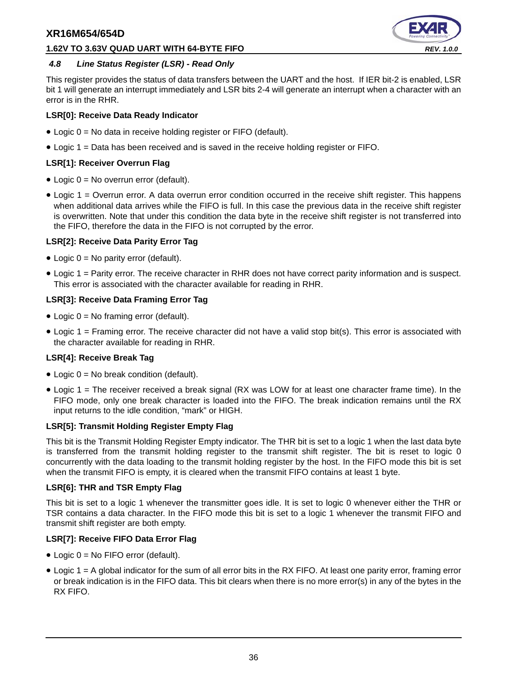#### **1.62V TO 3.63V QUAD UART WITH 64-BYTE FIFO** *REV. 1.0.0*



#### <span id="page-35-0"></span>*4.8 Line Status Register (LSR) - Read Only*

This register provides the status of data transfers between the UART and the host. If IER bit-2 is enabled, LSR bit 1 will generate an interrupt immediately and LSR bits 2-4 will generate an interrupt when a character with an error is in the RHR.

#### **LSR[0]: Receive Data Ready Indicator**

- Logic 0 = No data in receive holding register or FIFO (default).
- Logic 1 = Data has been received and is saved in the receive holding register or FIFO.

#### **LSR[1]: Receiver Overrun Flag**

- Logic 0 = No overrun error (default).
- Logic 1 = Overrun error. A data overrun error condition occurred in the receive shift register. This happens when additional data arrives while the FIFO is full. In this case the previous data in the receive shift register is overwritten. Note that under this condition the data byte in the receive shift register is not transferred into the FIFO, therefore the data in the FIFO is not corrupted by the error.

#### **LSR[2]: Receive Data Parity Error Tag**

- Logic 0 = No parity error (default).
- Logic 1 = Parity error. The receive character in RHR does not have correct parity information and is suspect. This error is associated with the character available for reading in RHR.

#### **LSR[3]: Receive Data Framing Error Tag**

- Logic  $0 = No$  framing error (default).
- Logic 1 = Framing error. The receive character did not have a valid stop bit(s). This error is associated with the character available for reading in RHR.

#### **LSR[4]: Receive Break Tag**

- Logic  $0 = No$  break condition (default).
- Logic 1 = The receiver received a break signal (RX was LOW for at least one character frame time). In the FIFO mode, only one break character is loaded into the FIFO. The break indication remains until the RX input returns to the idle condition, "mark" or HIGH.

#### **LSR[5]: Transmit Holding Register Empty Flag**

This bit is the Transmit Holding Register Empty indicator. The THR bit is set to a logic 1 when the last data byte is transferred from the transmit holding register to the transmit shift register. The bit is reset to logic 0 concurrently with the data loading to the transmit holding register by the host. In the FIFO mode this bit is set when the transmit FIFO is empty, it is cleared when the transmit FIFO contains at least 1 byte.

#### **LSR[6]: THR and TSR Empty Flag**

This bit is set to a logic 1 whenever the transmitter goes idle. It is set to logic 0 whenever either the THR or TSR contains a data character. In the FIFO mode this bit is set to a logic 1 whenever the transmit FIFO and transmit shift register are both empty.

#### **LSR[7]: Receive FIFO Data Error Flag**

- Logic 0 = No FIFO error (default).
- Logic 1 = A global indicator for the sum of all error bits in the RX FIFO. At least one parity error, framing error or break indication is in the FIFO data. This bit clears when there is no more error(s) in any of the bytes in the RX FIFO.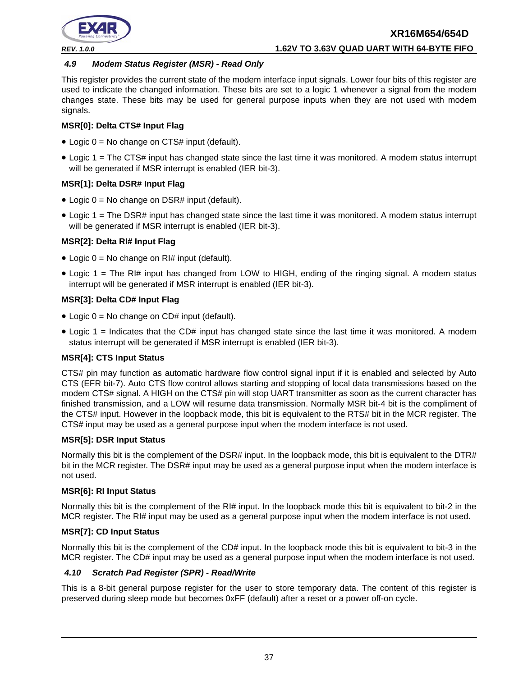

#### <span id="page-36-0"></span>*4.9 Modem Status Register (MSR) - Read Only*

This register provides the current state of the modem interface input signals. Lower four bits of this register are used to indicate the changed information. These bits are set to a logic 1 whenever a signal from the modem changes state. These bits may be used for general purpose inputs when they are not used with modem signals.

#### **MSR[0]: Delta CTS# Input Flag**

- Logic  $0 = No$  change on CTS# input (default).
- Logic 1 = The CTS# input has changed state since the last time it was monitored. A modem status interrupt will be generated if MSR interrupt is enabled (IER bit-3).

#### **MSR[1]: Delta DSR# Input Flag**

- Logic  $0 = No$  change on DSR# input (default).
- Logic 1 = The DSR# input has changed state since the last time it was monitored. A modem status interrupt will be generated if MSR interrupt is enabled (IER bit-3).

#### **MSR[2]: Delta RI# Input Flag**

- Logic  $0 = No$  change on RI# input (default).
- Logic 1 = The RI# input has changed from LOW to HIGH, ending of the ringing signal. A modem status interrupt will be generated if MSR interrupt is enabled (IER bit-3).

#### **MSR[3]: Delta CD# Input Flag**

- Logic  $0 = No$  change on CD# input (default).
- Logic 1 = Indicates that the CD# input has changed state since the last time it was monitored. A modem status interrupt will be generated if MSR interrupt is enabled (IER bit-3).

#### **MSR[4]: CTS Input Status**

CTS# pin may function as automatic hardware flow control signal input if it is enabled and selected by Auto CTS (EFR bit-7). Auto CTS flow control allows starting and stopping of local data transmissions based on the modem CTS# signal. A HIGH on the CTS# pin will stop UART transmitter as soon as the current character has finished transmission, and a LOW will resume data transmission. Normally MSR bit-4 bit is the compliment of the CTS# input. However in the loopback mode, this bit is equivalent to the RTS# bit in the MCR register. The CTS# input may be used as a general purpose input when the modem interface is not used.

#### **MSR[5]: DSR Input Status**

Normally this bit is the complement of the DSR# input. In the loopback mode, this bit is equivalent to the DTR# bit in the MCR register. The DSR# input may be used as a general purpose input when the modem interface is not used.

#### **MSR[6]: RI Input Status**

Normally this bit is the complement of the RI# input. In the loopback mode this bit is equivalent to bit-2 in the MCR register. The RI# input may be used as a general purpose input when the modem interface is not used.

#### **MSR[7]: CD Input Status**

Normally this bit is the complement of the CD# input. In the loopback mode this bit is equivalent to bit-3 in the MCR register. The CD# input may be used as a general purpose input when the modem interface is not used.

#### <span id="page-36-1"></span>*4.10 Scratch Pad Register (SPR) - Read/Write*

This is a 8-bit general purpose register for the user to store temporary data. The content of this register is preserved during sleep mode but becomes 0xFF (default) after a reset or a power off-on cycle.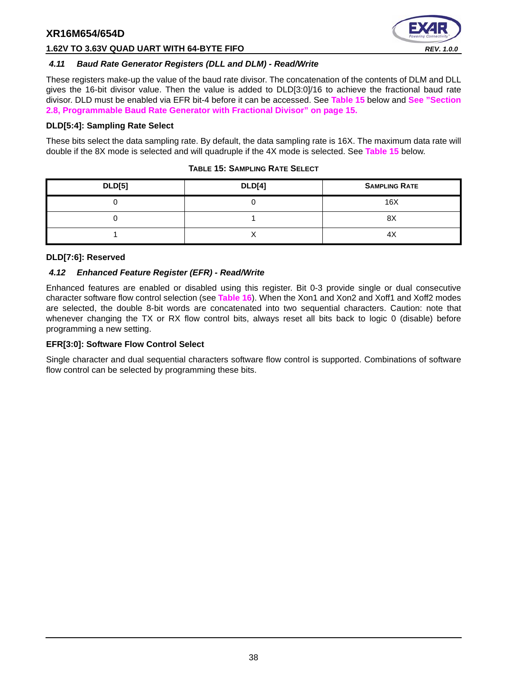

#### **1.62V TO 3.63V QUAD UART WITH 64-BYTE FIFO** *REV. 1.0.0*

#### <span id="page-37-1"></span>*4.11 Baud Rate Generator Registers (DLL and DLM) - Read/Write*

These registers make-up the value of the baud rate divisor. The concatenation of the contents of DLM and DLL gives the 16-bit divisor value. Then the value is added to DLD[3:0]/16 to achieve the fractional baud rate divisor. DLD must be enabled via EFR bit-4 before it can be accessed. See **[Table](#page-37-0) 15** below and **[See "Section](#page-14-1) [2.8, Programmable Baud Rate Generator with Fractional Divisor" on page](#page-14-1) 15.**

#### **DLD[5:4]: Sampling Rate Select**

These bits select the data sampling rate. By default, the data sampling rate is 16X. The maximum data rate will double if the 8X mode is selected and will quadruple if the 4X mode is selected. See **[Table](#page-37-0) 15** below.

<span id="page-37-0"></span>

| <b>DLD[5]</b> | <b>DLD[4]</b> | <b>SAMPLING RATE</b> |
|---------------|---------------|----------------------|
|               |               | 16X                  |
|               |               | 8>                   |
|               |               |                      |

#### **TABLE 15: SAMPLING RATE SELECT**

#### **DLD[7:6]: Reserved**

#### <span id="page-37-2"></span>*4.12 Enhanced Feature Register (EFR) - Read/Write*

Enhanced features are enabled or disabled using this register. Bit 0-3 provide single or dual consecutive character software flow control selection (see **[Table](#page-38-0) 16**). When the Xon1 and Xon2 and Xoff1 and Xoff2 modes are selected, the double 8-bit words are concatenated into two sequential characters. Caution: note that whenever changing the TX or RX flow control bits, always reset all bits back to logic 0 (disable) before programming a new setting.

#### **EFR[3:0]: Software Flow Control Select**

Single character and dual sequential characters software flow control is supported. Combinations of software flow control can be selected by programming these bits.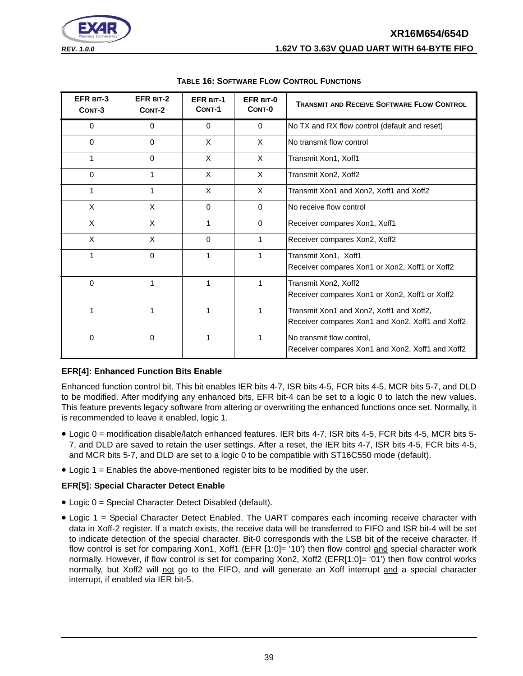# **XR16M654/654D** *REV. 1.0.0* **1.62V TO 3.63V QUAD UART WITH 64-BYTE FIFO**



<span id="page-38-0"></span>

| EFR BIT-3<br>CONT-3 | EFR BIT-2<br>CONT-2 | <b>EFR BIT-1</b><br>CONT-1 | EFR BIT-0<br>CONT-0 | <b>TRANSMIT AND RECEIVE SOFTWARE FLOW CONTROL</b>                                            |
|---------------------|---------------------|----------------------------|---------------------|----------------------------------------------------------------------------------------------|
| 0                   | 0                   | 0                          | $\mathbf 0$         | No TX and RX flow control (default and reset)                                                |
| $\Omega$            | $\Omega$            | X                          | $\times$            | No transmit flow control                                                                     |
|                     | $\Omega$            | X                          | $\times$            | Transmit Xon1, Xoff1                                                                         |
| $\Omega$            |                     | X                          | $\times$            | Transmit Xon2, Xoff2                                                                         |
| 1                   | 1                   | X                          | $\times$            | Transmit Xon1 and Xon2, Xoff1 and Xoff2                                                      |
| X                   | X                   | $\Omega$                   | $\mathbf{0}$        | No receive flow control                                                                      |
| X                   | X                   | 1                          | $\Omega$            | Receiver compares Xon1, Xoff1                                                                |
| X                   | X                   | 0                          | 1                   | Receiver compares Xon2, Xoff2                                                                |
| 1                   | $\mathbf 0$         | 1                          | 1                   | Transmit Xon1, Xoff1<br>Receiver compares Xon1 or Xon2, Xoff1 or Xoff2                       |
| $\Omega$            | 1                   | 1                          | 1                   | Transmit Xon2, Xoff2<br>Receiver compares Xon1 or Xon2, Xoff1 or Xoff2                       |
|                     | 1                   | 1                          | 1                   | Transmit Xon1 and Xon2, Xoff1 and Xoff2,<br>Receiver compares Xon1 and Xon2, Xoff1 and Xoff2 |
| $\Omega$            | 0                   | 1                          |                     | No transmit flow control,<br>Receiver compares Xon1 and Xon2, Xoff1 and Xoff2                |

#### **TABLE 16: SOFTWARE FLOW CONTROL FUNCTIONS**

#### **EFR[4]: Enhanced Function Bits Enable**

Enhanced function control bit. This bit enables IER bits 4-7, ISR bits 4-5, FCR bits 4-5, MCR bits 5-7, and DLD to be modified. After modifying any enhanced bits, EFR bit-4 can be set to a logic 0 to latch the new values. This feature prevents legacy software from altering or overwriting the enhanced functions once set. Normally, it is recommended to leave it enabled, logic 1.

- Logic 0 = modification disable/latch enhanced features. IER bits 4-7, ISR bits 4-5, FCR bits 4-5, MCR bits 5- 7, and DLD are saved to retain the user settings. After a reset, the IER bits 4-7, ISR bits 4-5, FCR bits 4-5, and MCR bits 5-7, and DLD are set to a logic 0 to be compatible with ST16C550 mode (default).
- Logic 1 = Enables the above-mentioned register bits to be modified by the user.

#### **EFR[5]: Special Character Detect Enable**

- Logic 0 = Special Character Detect Disabled (default).
- Logic 1 = Special Character Detect Enabled. The UART compares each incoming receive character with data in Xoff-2 register. If a match exists, the receive data will be transferred to FIFO and ISR bit-4 will be set to indicate detection of the special character. Bit-0 corresponds with the LSB bit of the receive character. If flow control is set for comparing Xon1, Xoff1 (EFR [1:0]= '10') then flow control and special character work normally. However, if flow control is set for comparing Xon2, Xoff2 (EFR[1:0]= '01') then flow control works normally, but Xoff2 will not go to the FIFO, and will generate an Xoff interrupt and a special character interrupt, if enabled via IER bit-5.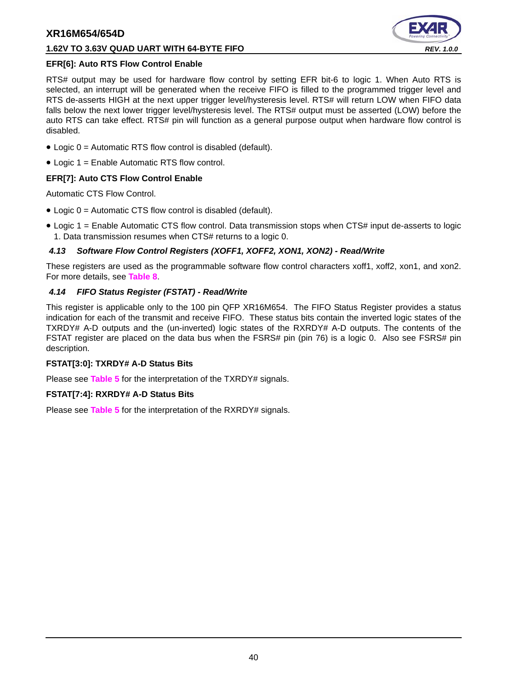#### **1.62V TO 3.63V QUAD UART WITH 64-BYTE FIFO** *REV. 1.0.0*



#### **EFR[6]: Auto RTS Flow Control Enable**

RTS# output may be used for hardware flow control by setting EFR bit-6 to logic 1. When Auto RTS is selected, an interrupt will be generated when the receive FIFO is filled to the programmed trigger level and RTS de-asserts HIGH at the next upper trigger level/hysteresis level. RTS# will return LOW when FIFO data falls below the next lower trigger level/hysteresis level. The RTS# output must be asserted (LOW) before the auto RTS can take effect. RTS# pin will function as a general purpose output when hardware flow control is disabled.

- Logic 0 = Automatic RTS flow control is disabled (default).
- Logic 1 = Enable Automatic RTS flow control.

#### **EFR[7]: Auto CTS Flow Control Enable**

Automatic CTS Flow Control.

- Logic 0 = Automatic CTS flow control is disabled (default).
- Logic 1 = Enable Automatic CTS flow control. Data transmission stops when CTS# input de-asserts to logic 1. Data transmission resumes when CTS# returns to a logic 0.

#### <span id="page-39-0"></span>*4.13 Software Flow Control Registers (XOFF1, XOFF2, XON1, XON2) - Read/Write*

These registers are used as the programmable software flow control characters xoff1, xoff2, xon1, and xon2. For more details, see **[Table](#page-21-0) 8**.

#### <span id="page-39-1"></span>*4.14 FIFO Status Register (FSTAT) - Read/Write*

This register is applicable only to the 100 pin QFP XR16M654. The FIFO Status Register provides a status indication for each of the transmit and receive FIFO. These status bits contain the inverted logic states of the TXRDY# A-D outputs and the (un-inverted) logic states of the RXRDY# A-D outputs. The contents of the FSTAT register are placed on the data bus when the FSRS# pin (pin 76) is a logic 0. Also see FSRS# pin description.

#### **FSTAT[3:0]: TXRDY# A-D Status Bits**

Please see **[Table](#page-14-0) 5** for the interpretation of the TXRDY# signals.

#### **FSTAT[7:4]: RXRDY# A-D Status Bits**

Please see **[Table](#page-14-0) 5** for the interpretation of the RXRDY# signals.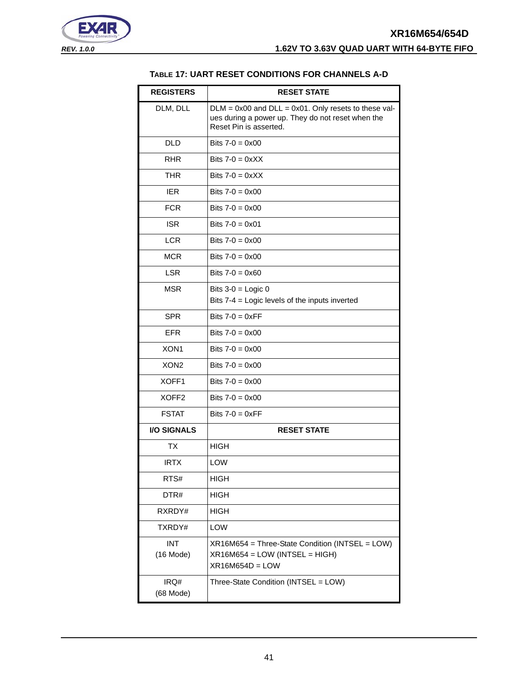<span id="page-40-0"></span>



#### **TABLE 17: UART RESET CONDITIONS FOR CHANNELS A-D**

| <b>REGISTERS</b>          | <b>RESET STATE</b>                                                                                                                       |
|---------------------------|------------------------------------------------------------------------------------------------------------------------------------------|
| DLM, DLL                  | $DLM = 0x00$ and $DLL = 0x01$ . Only resets to these val-<br>ues during a power up. They do not reset when the<br>Reset Pin is asserted. |
| DI D                      | Bits $7 - 0 = 0 \times 00$                                                                                                               |
| <b>RHR</b>                | Bits $7-0 = 0 \times X$                                                                                                                  |
| <b>THR</b>                | Bits $7-0 = 0 \times XX$                                                                                                                 |
| <b>IER</b>                | Bits $7-0 = 0 \times 00$                                                                                                                 |
| <b>FCR</b>                | Bits $7-0 = 0 \times 00$                                                                                                                 |
| <b>ISR</b>                | Bits $7-0 = 0 \times 01$                                                                                                                 |
| <b>LCR</b>                | Bits $7-0 = 0 \times 00$                                                                                                                 |
| <b>MCR</b>                | Bits $7-0 = 0 \times 00$                                                                                                                 |
| <b>LSR</b>                | Bits $7-0 = 0 \times 60$                                                                                                                 |
| <b>MSR</b>                | Bits $3-0 =$ Logic 0                                                                                                                     |
|                           | Bits 7-4 = Logic levels of the inputs inverted                                                                                           |
| <b>SPR</b>                | Bits $7-0 = 0 \times FF$                                                                                                                 |
| <b>EFR</b>                | Bits $7-0 = 0 \times 00$                                                                                                                 |
| XON <sub>1</sub>          | Bits $7-0 = 0 \times 00$                                                                                                                 |
| XON <sub>2</sub>          | Bits $7-0 = 0 \times 00$                                                                                                                 |
| XOFF1                     | Bits $7-0 = 0 \times 00$                                                                                                                 |
| XOFF <sub>2</sub>         | Bits $7-0 = 0 \times 00$                                                                                                                 |
| <b>FSTAT</b>              | Bits $7-0 = 0 \times FF$                                                                                                                 |
| <b>I/O SIGNALS</b>        | <b>RESET STATE</b>                                                                                                                       |
| ТX                        | <b>HIGH</b>                                                                                                                              |
| <b>IRTX</b>               | LOW                                                                                                                                      |
| RTS#                      | <b>HIGH</b>                                                                                                                              |
| DTR#                      | HIGH                                                                                                                                     |
| RXRDY#                    | <b>HIGH</b>                                                                                                                              |
| TXRDY#                    | LOW                                                                                                                                      |
| <b>INT</b><br>$(16$ Mode) | XR16M654 = Three-State Condition (INTSEL = LOW)<br>XR16M654 = LOW (INTSEL = HIGH)<br>$XR16M654D = LOW$                                   |
| IRQ#<br>(68 Mode)         | Three-State Condition (INTSEL = LOW)                                                                                                     |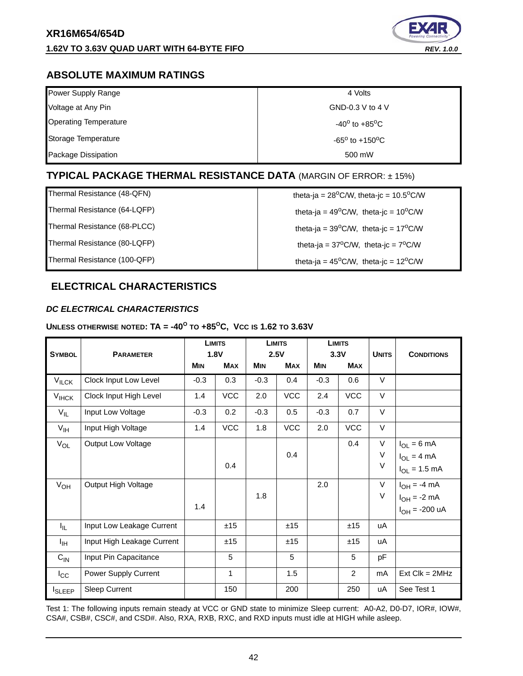

# <span id="page-41-1"></span>**ABSOLUTE MAXIMUM RATINGS**

| Power Supply Range           | 4 Volts                           |
|------------------------------|-----------------------------------|
| Voltage at Any Pin           | GND-0.3 V to 4 V                  |
| <b>Operating Temperature</b> | $-40^{\circ}$ to $+85^{\circ}$ C  |
| Storage Temperature          | $-65^{\circ}$ to $+150^{\circ}$ C |
| Package Dissipation          | 500 mW                            |

# <span id="page-41-2"></span>**TYPICAL PACKAGE THERMAL RESISTANCE DATA** (MARGIN OF ERROR: ± 15%)

Thermal Resistance (48-QFN) theta-ja =  $28^{\circ}$ C/W, theta-jc =  $10.5^{\circ}$ C/W

# Thermal Resistance (64-LQFP)  $\qquad \qquad$  theta-ja = 49<sup>o</sup>C/W, theta-jc = 10<sup>o</sup>C/W Thermal Resistance (68-PLCC)  $\qquad \qquad$  theta-ja = 39<sup>o</sup>C/W, theta-jc = 17<sup>o</sup>C/W Thermal Resistance (80-LQFP) theta-ja =  $37^{\circ}$ C/W, theta-jc =  $7^{\circ}$ C/W Thermal Resistance (100-QFP)  $\qquad \qquad$  theta-ja = 45<sup>o</sup>C/W, theta-jc = 12<sup>o</sup>C/W

# <span id="page-41-3"></span>**ELECTRICAL CHARACTERISTICS**

#### <span id="page-41-0"></span>*DC ELECTRICAL CHARACTERISTICS*

#### **UNLESS OTHERWISE NOTED: TA = -40<sup>O</sup> TO +85OC, VCC IS 1.62 TO 3.63V**

| <b>SYMBOL</b>     | <b>LIMITS</b><br>1.8V<br><b>PARAMETER</b> |            |              | <b>LIMITS</b><br>2.5V |            | <b>LIMITS</b><br>3.3V |            | <b>CONDITIONS</b> |                                                                    |
|-------------------|-------------------------------------------|------------|--------------|-----------------------|------------|-----------------------|------------|-------------------|--------------------------------------------------------------------|
|                   |                                           | <b>MIN</b> | <b>MAX</b>   | <b>MIN</b>            | <b>MAX</b> | <b>MIN</b>            | <b>MAX</b> | <b>UNITS</b>      |                                                                    |
| $V_{\text{ILCK}}$ | Clock Input Low Level                     | $-0.3$     | 0.3          | $-0.3$                | 0.4        | $-0.3$                | 0.6        | V                 |                                                                    |
| $V_{IHCK}$        | Clock Input High Level                    | 1.4        | VCC          | 2.0                   | VCC        | 2.4                   | VCC        | V                 |                                                                    |
| $V_{IL}$          | Input Low Voltage                         | $-0.3$     | 0.2          | $-0.3$                | 0.5        | $-0.3$                | 0.7        | $\vee$            |                                                                    |
| $V_{\text{IH}}$   | Input High Voltage                        | 1.4        | <b>VCC</b>   | 1.8                   | <b>VCC</b> | 2.0                   | <b>VCC</b> | $\vee$            |                                                                    |
| $V_{OL}$          | Output Low Voltage                        |            | 0.4          |                       | 0.4        |                       | 0.4        | V<br>V<br>$\vee$  | $I_{OL} = 6$ mA<br>$I_{OL} = 4 mA$<br>$I_{OL} = 1.5$ mA            |
| $V_{OH}$          | Output High Voltage                       | 1.4        |              | 1.8                   |            | 2.0                   |            | V<br>V            | $I_{OH} = -4$ mA<br>$I_{OH} = -2$ mA<br>$I_{OH} = -200 \text{ uA}$ |
| I <sub>IL</sub>   | Input Low Leakage Current                 |            | ±15          |                       | ±15        |                       | ±15        | uA                |                                                                    |
| ŀщ                | Input High Leakage Current                |            | ±15          |                       | ±15        |                       | ±15        | uA                |                                                                    |
| $C_{\text{IN}}$   | Input Pin Capacitance                     |            | 5            |                       | 5          |                       | 5          | pF                |                                                                    |
| $I_{\rm CC}$      | Power Supply Current                      |            | $\mathbf{1}$ |                       | 1.5        |                       | 2          | mA                | $Ext$ Clk = $2MHz$                                                 |
| <b>I</b> SLEEP    | Sleep Current                             |            | 150          |                       | 200        |                       | 250        | uA                | See Test 1                                                         |

Test 1: The following inputs remain steady at VCC or GND state to minimize Sleep current: A0-A2, D0-D7, IOR#, IOW#, CSA#, CSB#, CSC#, and CSD#. Also, RXA, RXB, RXC, and RXD inputs must idle at HIGH while asleep.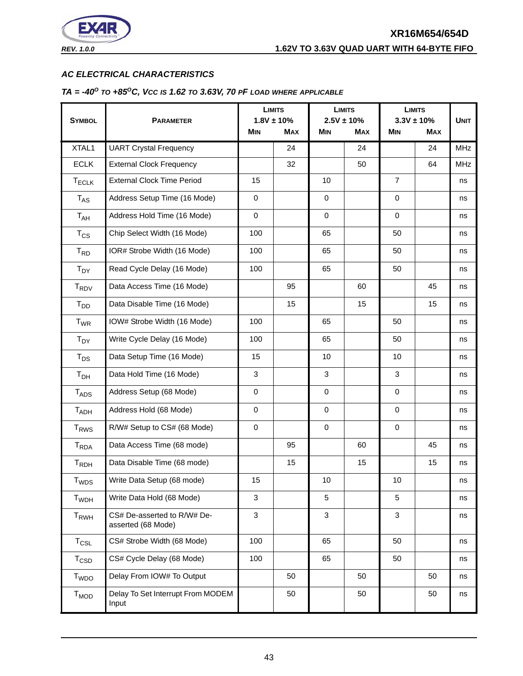

#### <span id="page-42-0"></span>*AC ELECTRICAL CHARACTERISTICS*

#### <span id="page-42-1"></span>*TA = -40O TO +85OC, VCC IS 1.62 TO 3.63V, 70 PF LOAD WHERE APPLICABLE*

|                         |                                                   |             | <b>LIMITS</b>   |              | <b>LIMITS</b>   |                | <b>LIMITS</b> |             |
|-------------------------|---------------------------------------------------|-------------|-----------------|--------------|-----------------|----------------|---------------|-------------|
| <b>SYMBOL</b>           | <b>PARAMETER</b>                                  |             | $1.8V \pm 10\%$ |              | $2.5V \pm 10\%$ | $3.3V \pm 10%$ |               | <b>UNIT</b> |
|                         |                                                   | <b>MIN</b>  | <b>MAX</b>      | <b>MIN</b>   | <b>MAX</b>      | <b>MIN</b>     | <b>MAX</b>    |             |
| XTAL1                   | <b>UART Crystal Frequency</b>                     |             | 24              |              | 24              |                | 24            | <b>MHz</b>  |
| <b>ECLK</b>             | <b>External Clock Frequency</b>                   |             | 32              |              | 50              |                | 64            | <b>MHz</b>  |
| $T_{ECLK}$              | <b>External Clock Time Period</b>                 | 15          |                 | 10           |                 | $\overline{7}$ |               | ns          |
| <b>TAS</b>              | Address Setup Time (16 Mode)                      | $\mathbf 0$ |                 | $\mathbf 0$  |                 | $\mathbf 0$    |               | ns          |
| $T_{AH}$                | Address Hold Time (16 Mode)                       | $\mathbf 0$ |                 | $\mathbf 0$  |                 | $\mathbf 0$    |               | ns          |
| $T_{CS}$                | Chip Select Width (16 Mode)                       | 100         |                 | 65           |                 | 50             |               | ns          |
| $T_{RD}$                | IOR# Strobe Width (16 Mode)                       | 100         |                 | 65           |                 | 50             |               | ns          |
| $T_{DY}$                | Read Cycle Delay (16 Mode)                        | 100         |                 | 65           |                 | 50             |               | ns          |
| <b>TRDV</b>             | Data Access Time (16 Mode)                        |             | 95              |              | 60              |                | 45            | ns          |
| $T_{DD}$                | Data Disable Time (16 Mode)                       |             | 15              |              | 15              |                | 15            | ns          |
| $T_{WR}$                | IOW# Strobe Width (16 Mode)                       | 100         |                 | 65           |                 | 50             |               | ns          |
| $T_{DY}$                | Write Cycle Delay (16 Mode)                       | 100         |                 | 65           |                 | 50             |               | ns          |
| $T_{DS}$                | Data Setup Time (16 Mode)                         | 15          |                 | 10           |                 | 10             |               | ns          |
| T <sub>DH</sub>         | Data Hold Time (16 Mode)                          | 3           |                 | 3            |                 | 3              |               | ns          |
| $T_{ADS}$               | Address Setup (68 Mode)                           | $\pmb{0}$   |                 | $\mathbf 0$  |                 | $\pmb{0}$      |               | ns          |
| $T_{ADH}$               | Address Hold (68 Mode)                            | $\pmb{0}$   |                 | $\mathbf 0$  |                 | $\mathbf 0$    |               | ns          |
| <b>T<sub>RWS</sub></b>  | R/W# Setup to CS# (68 Mode)                       | $\mathbf 0$ |                 | $\pmb{0}$    |                 | $\mathbf 0$    |               | ns          |
| <b>T</b> <sub>RDA</sub> | Data Access Time (68 mode)                        |             | 95              |              | 60              |                | 45            | ns          |
| $T_{RDH}$               | Data Disable Time (68 mode)                       |             | 15              |              | 15              |                | 15            | ns          |
| T <sub>WDS</sub>        | Write Data Setup (68 mode)                        | 15          |                 | 10           |                 | 10             |               | ns          |
| T <sub>WDH</sub>        | Write Data Hold (68 Mode)                         | 3           |                 | 5            |                 | $\overline{5}$ |               | ns          |
| $T_{RWH}$               | CS# De-asserted to R/W# De-<br>asserted (68 Mode) | 3           |                 | $\mathbf{3}$ |                 | $\mathbf{3}$   |               | ns          |
| $T_{CSL}$               | CS# Strobe Width (68 Mode)                        | 100         |                 | 65           |                 | 50             |               | ns          |
| $T_{\text{CSD}}$        | CS# Cycle Delay (68 Mode)                         | 100         |                 | 65           |                 | 50             |               | ns          |
| <b>T</b> <sub>WDO</sub> | Delay From IOW# To Output                         |             | 50              |              | 50              |                | 50            | ns          |
| $T_{MOD}$               | Delay To Set Interrupt From MODEM<br>Input        |             | 50              |              | 50              |                | 50            | ns          |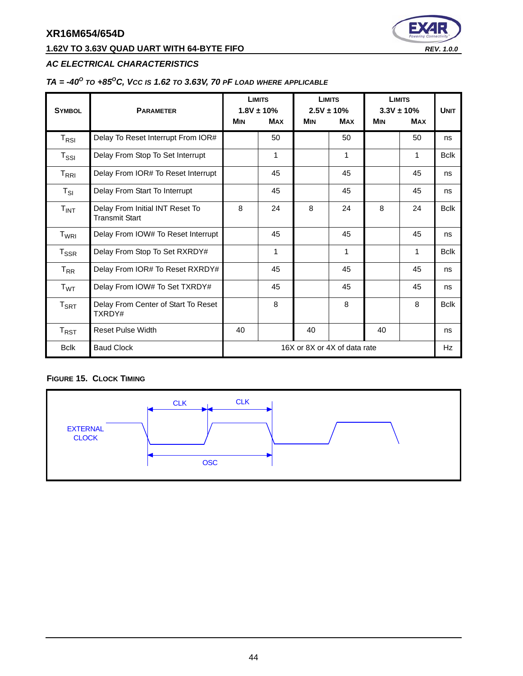# **1.62V TO 3.63V QUAD UART WITH 64-BYTE FIFO** *REV. 1.0.0*



### *AC ELECTRICAL CHARACTERISTICS*

# *TA = -40O TO +85OC, VCC IS 1.62 TO 3.63V, 70 PF LOAD WHERE APPLICABLE*

| <b>SYMBOL</b>                                 | <b>PARAMETER</b>                                         |            | <b>LIMITS</b><br>$1.8V \pm 10\%$ | <b>LIMITS</b><br>$2.5V \pm 10\%$ |                              | <b>LIMITS</b><br>$3.3V \pm 10\%$ |            | <b>UNIT</b>  |
|-----------------------------------------------|----------------------------------------------------------|------------|----------------------------------|----------------------------------|------------------------------|----------------------------------|------------|--------------|
|                                               |                                                          | <b>MIN</b> | <b>MAX</b>                       | <b>MIN</b>                       | <b>MAX</b>                   | <b>MIN</b>                       | <b>MAX</b> |              |
| $T_{RSI}$                                     | Delay To Reset Interrupt From IOR#                       |            | 50                               |                                  | 50                           |                                  | 50         | ns           |
| $T_{\rm SSI}$                                 | Delay From Stop To Set Interrupt                         |            | 1                                |                                  | 1                            |                                  | 1          | <b>B</b> clk |
| $\mathsf{T}_{\mathsf{R}\mathsf{R}\mathsf{I}}$ | Delay From IOR# To Reset Interrupt                       |            | 45                               |                                  | 45                           |                                  | 45         | ns           |
| $T_{SI}$                                      | Delay From Start To Interrupt                            |            | 45                               |                                  | 45                           |                                  | 45         | ns           |
| $T_{INT}$                                     | Delay From Initial INT Reset To<br><b>Transmit Start</b> | 8          | 24                               | 8                                | 24                           | 8                                | 24         | <b>Bclk</b>  |
| T <sub>WRI</sub>                              | Delay From IOW# To Reset Interrupt                       |            | 45                               |                                  | 45                           |                                  | 45         | ns           |
| $T_{\tt SSR}$                                 | Delay From Stop To Set RXRDY#                            |            | 1                                |                                  | 1                            |                                  | 1          | <b>Bclk</b>  |
| $T_{RR}$                                      | Delay From IOR# To Reset RXRDY#                          |            | 45                               |                                  | 45                           |                                  | 45         | ns           |
| $T_{WT}$                                      | Delay From IOW# To Set TXRDY#                            |            | 45                               |                                  | 45                           |                                  | 45         | ns           |
| $T_{\sf SRT}$                                 | Delay From Center of Start To Reset<br>TXRDY#            |            | 8                                |                                  | 8                            |                                  | 8          | <b>Bclk</b>  |
| $T_{RST}$                                     | <b>Reset Pulse Width</b>                                 | 40         |                                  | 40                               |                              | 40                               |            | ns           |
| <b>Bclk</b>                                   | <b>Baud Clock</b>                                        |            |                                  |                                  | 16X or 8X or 4X of data rate |                                  |            | Hz           |

#### <span id="page-43-0"></span>**FIGURE 15. CLOCK TIMING**

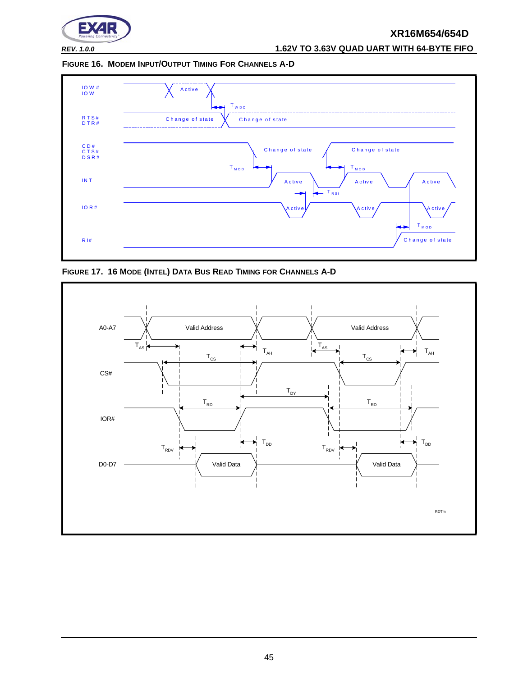

*REV. 1.0.0* **1.62V TO 3.63V QUAD UART WITH 64-BYTE FIFO**

<span id="page-44-0"></span>**FIGURE 16. MODEM INPUT/OUTPUT TIMING FOR CHANNELS A-D**



<span id="page-44-1"></span>**FIGURE 17. 16 MODE (INTEL) DATA BUS READ TIMING FOR CHANNELS A-D**

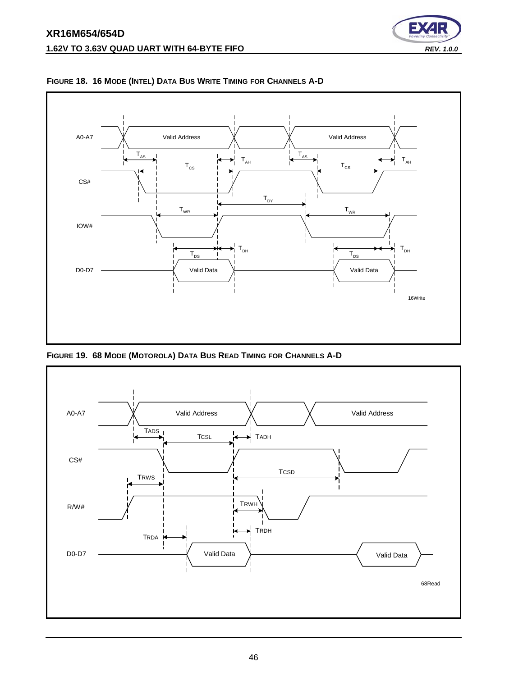<span id="page-45-0"></span>

∍

<span id="page-45-1"></span>**FIGURE 19. 68 MODE (MOTOROLA) DATA BUS READ TIMING FOR CHANNELS A-D**

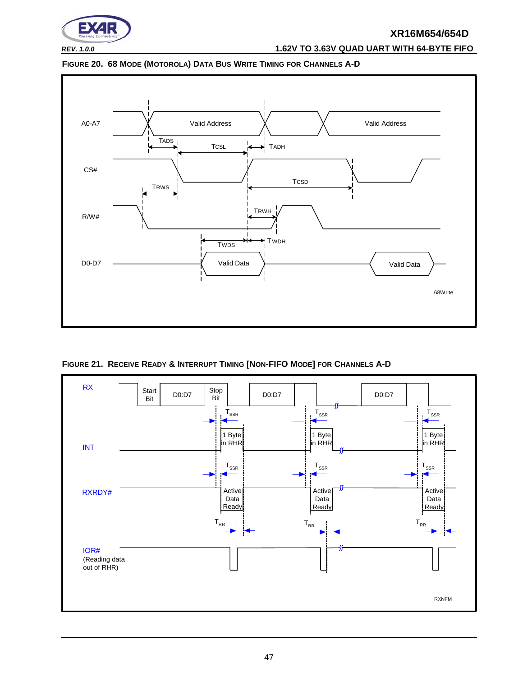

# *REV. 1.0.0* **1.62V TO 3.63V QUAD UART WITH 64-BYTE FIFO**

<span id="page-46-1"></span>



<span id="page-46-0"></span>**FIGURE 21. RECEIVE READY & INTERRUPT TIMING [NON-FIFO MODE] FOR CHANNELS A-D**

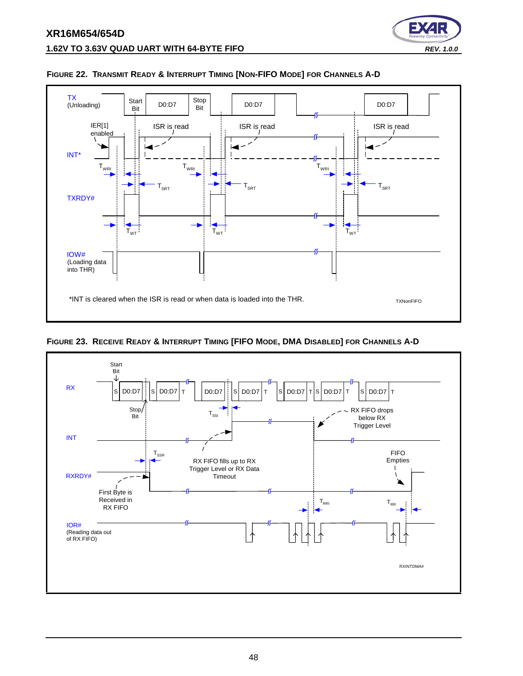

#### <span id="page-47-0"></span>**FIGURE 22. TRANSMIT READY & INTERRUPT TIMING [NON-FIFO MODE] FOR CHANNELS A-D**

<span id="page-47-1"></span>**FIGURE 23. RECEIVE READY & INTERRUPT TIMING [FIFO MODE, DMA DISABLED] FOR CHANNELS A-D**



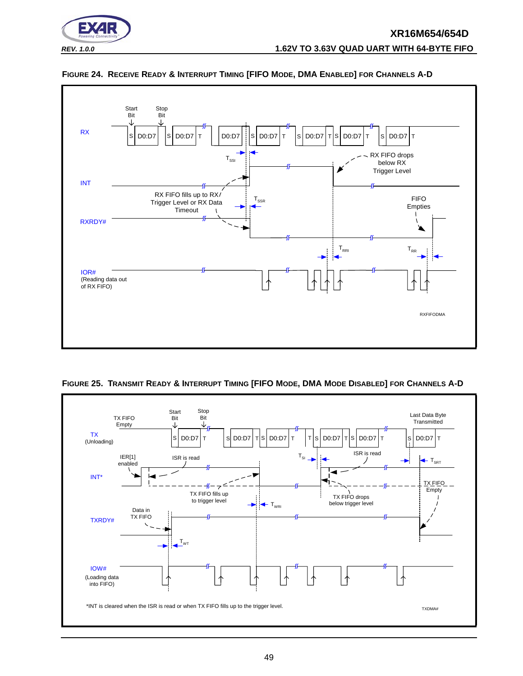



#### <span id="page-48-0"></span>**FIGURE 24. RECEIVE READY & INTERRUPT TIMING [FIFO MODE, DMA ENABLED] FOR CHANNELS A-D**

<span id="page-48-1"></span>

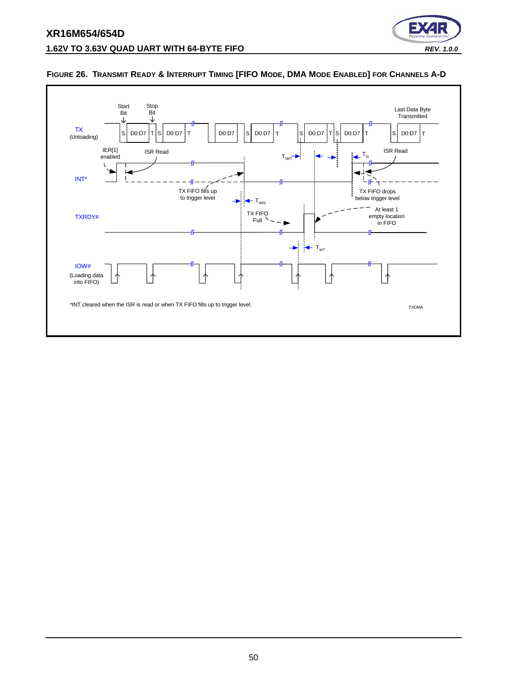



#### <span id="page-49-0"></span>**FIGURE 26. TRANSMIT READY & INTERRUPT TIMING [FIFO MODE, DMA MODE ENABLED] FOR CHANNELS A-D**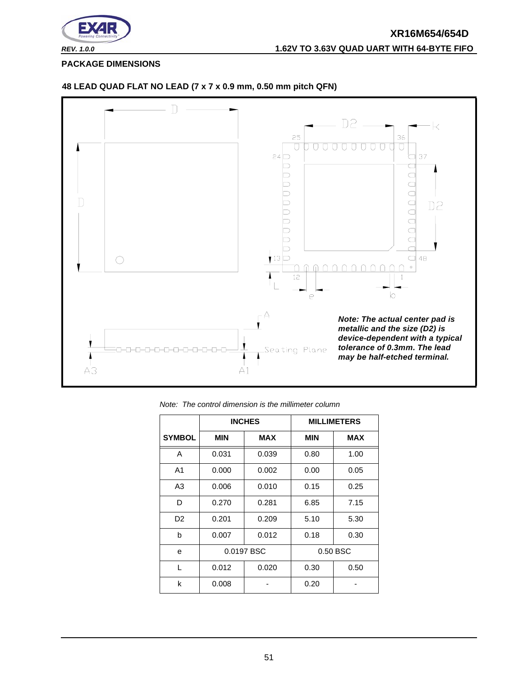

<span id="page-50-0"></span>**PACKAGE DIMENSIONS**



#### **48 LEAD QUAD FLAT NO LEAD (7 x 7 x 0.9 mm, 0.50 mm pitch QFN)**

|                |            | <b>INCHES</b> |            | <b>MILLIMETERS</b> |
|----------------|------------|---------------|------------|--------------------|
| <b>SYMBOL</b>  | <b>MIN</b> | <b>MAX</b>    | <b>MIN</b> | <b>MAX</b>         |
| A              | 0.031      | 0.039         | 0.80       | 1.00               |
| A <sub>1</sub> | 0.000      | 0.002         | 0.00       | 0.05               |
| A <sub>3</sub> | 0.006      | 0.010         | 0.15       | 0.25               |
| D              | 0.270      | 0.281         | 6.85       | 7.15               |
| D <sub>2</sub> | 0.201      | 0.209         | 5.10       | 5.30               |
| b              | 0.007      | 0.012         | 0.18       | 0.30               |
| e              |            | 0.0197 BSC    |            | 0.50 BSC           |
| L              | 0.012      | 0.020         | 0.30       | 0.50               |
| k              | 0.008      |               | 0.20       |                    |

*Note: The control dimension is the millimeter column*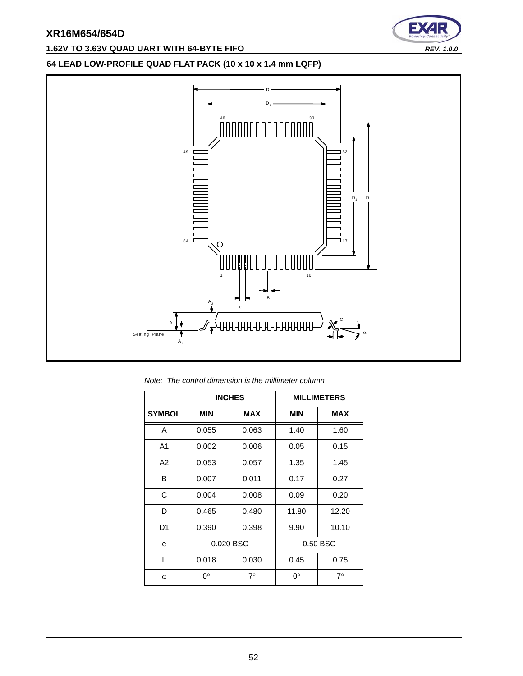# **1.62V TO 3.63V QUAD UART WITH 64-BYTE FIFO** *REV. 1.0.0*



#### **64 LEAD LOW-PROFILE QUAD FLAT PACK (10 x 10 x 1.4 mm LQFP)**



*Note: The control dimension is the millimeter column*

|                |            | <b>INCHES</b> |             | <b>MILLIMETERS</b> |
|----------------|------------|---------------|-------------|--------------------|
| <b>SYMBOL</b>  | <b>MIN</b> | <b>MAX</b>    | <b>MIN</b>  | <b>MAX</b>         |
| A              | 0.055      | 0.063         | 1.40        | 1.60               |
| A <sub>1</sub> | 0.002      | 0.006         | 0.05        | 0.15               |
| A <sub>2</sub> | 0.053      | 0.057         | 1.35        | 1.45               |
| B              | 0.007      | 0.011         | 0.17        | 0.27               |
| C              | 0.004      | 0.008         | 0.09        | 0.20               |
| D              | 0.465      | 0.480         | 11.80       | 12.20              |
| D <sub>1</sub> | 0.390      | 0.398         | 9.90        | 10.10              |
| e              |            | 0.020 BSC     |             | 0.50 BSC           |
| L              | 0.018      | 0.030         | 0.45        | 0.75               |
| $\alpha$       | 0°         | $7^\circ$     | $0^{\circ}$ | $7^\circ$          |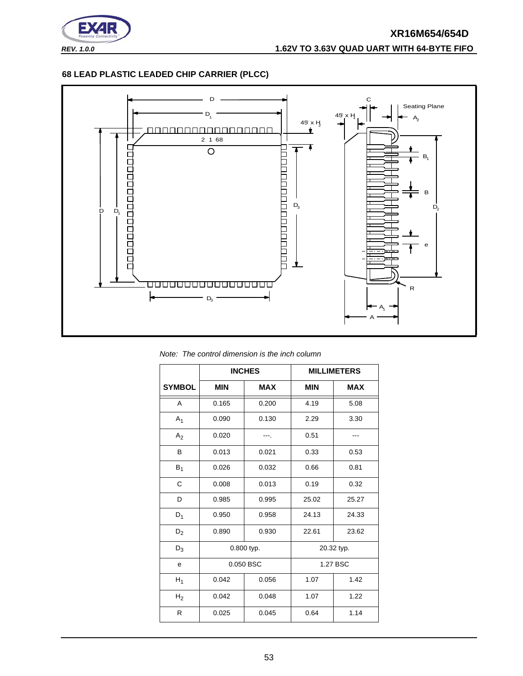

# **XR16M654/654D** *REV. 1.0.0* **1.62V TO 3.63V QUAD UART WITH 64-BYTE FIFO**

#### **68 LEAD PLASTIC LEADED CHIP CARRIER (PLCC)**



*Note: The control dimension is the inch column*

|                |            | <b>INCHES</b> |            | <b>MILLIMETERS</b> |  |
|----------------|------------|---------------|------------|--------------------|--|
| <b>SYMBOL</b>  | <b>MIN</b> | <b>MAX</b>    | <b>MIN</b> | <b>MAX</b>         |  |
| A              | 0.165      | 0.200         | 4.19       | 5.08               |  |
| $A_1$          | 0.090      | 0.130         | 2.29       | 3.30               |  |
| A <sub>2</sub> | 0.020      |               | 0.51       |                    |  |
| B              | 0.013      | 0.021         | 0.33       | 0.53               |  |
| $B_1$          | 0.026      | 0.032         | 0.66       | 0.81               |  |
| C              | 0.008      | 0.013         | 0.19       | 0.32               |  |
| D              | 0.985      | 0.995         | 25.02      | 25.27              |  |
| $D_1$          | 0.950      | 0.958         | 24.13      | 24.33              |  |
| $D_2$          | 0.890      | 0.930         | 22.61      | 23.62              |  |
| $D_3$          |            | 0.800 typ.    |            | 20.32 typ.         |  |
| е              |            | 0.050 BSC     |            | 1.27 BSC           |  |
| $H_1$          | 0.042      | 0.056         | 1.07       | 1.42               |  |
| H <sub>2</sub> | 0.042      | 0.048         | 1.07       | 1.22               |  |
| R              | 0.025      | 0.045         | 0.64       | 1.14               |  |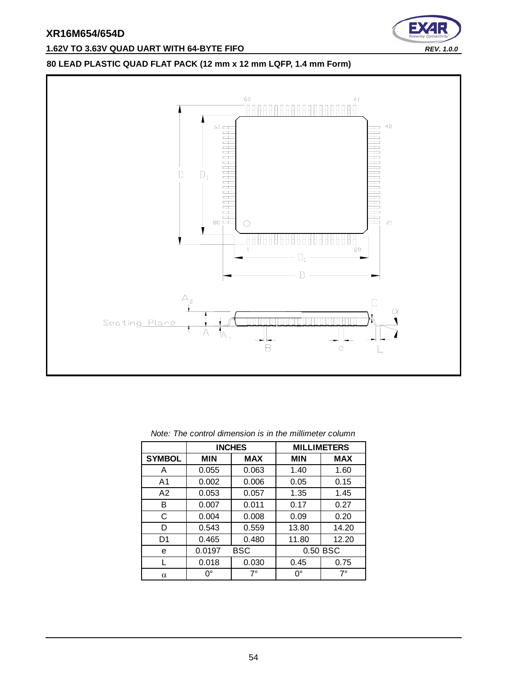

# **1.62V TO 3.63V QUAD UART WITH 64-BYTE FIFO** *REV. 1.0.0*

# **80 LEAD PLASTIC QUAD FLAT PACK (12 mm x 12 mm LQFP, 1.4 mm Form)**



|                | <b>INCHES</b> |            |            | <b>MILLIMETERS</b> |
|----------------|---------------|------------|------------|--------------------|
| <b>SYMBOL</b>  | <b>MIN</b>    | <b>MAX</b> | <b>MIN</b> | <b>MAX</b>         |
| A              | 0.055         | 0.063      | 1.40       | 1.60               |
| A1             | 0.002         | 0.006      | 0.05       | 0.15               |
| A2             | 0.053         | 0.057      | 1.35       | 1.45               |
| в              | 0.007         | 0.011      | 0.17       | 0.27               |
| С              | 0.004         | 0.008      | 0.09       | 0.20               |
| D              | 0.543         | 0.559      | 13.80      | 14.20              |
| D <sub>1</sub> | 0.465         | 0.480      | 11.80      | 12.20              |
| е              | 0.0197        | <b>BSC</b> | 0.50 BSC   |                    |
|                | 0.018         | 0.030      | 0.45       | 0.75               |
| α              | $0^{\circ}$   | $7^\circ$  | 0°         | $7^\circ$          |

#### *Note: The control dimension is in the millimeter column*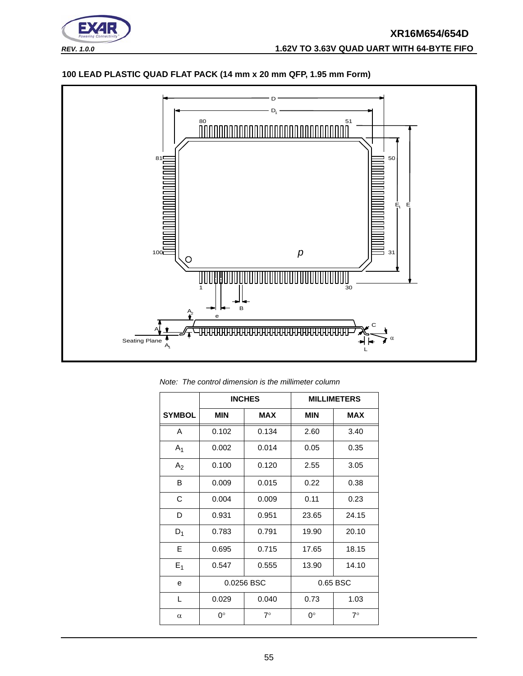

## **100 LEAD PLASTIC QUAD FLAT PACK (14 mm x 20 mm QFP, 1.95 mm Form)**



*Note: The control dimension is the millimeter column*

|                |             | <b>INCHES</b> |             | <b>MILLIMETERS</b> |
|----------------|-------------|---------------|-------------|--------------------|
| <b>SYMBOL</b>  | <b>MIN</b>  | <b>MAX</b>    | <b>MIN</b>  | <b>MAX</b>         |
| A              | 0.102       | 0.134         | 2.60        | 3.40               |
| $A_1$          | 0.002       | 0.014         | 0.05        | 0.35               |
| A <sub>2</sub> | 0.100       | 0.120         | 2.55        | 3.05               |
| B              | 0.009       | 0.015         | 0.22        | 0.38               |
| C              | 0.004       | 0.009         | 0.11        | 0.23               |
| D              | 0.931       | 0.951         | 23.65       | 24.15              |
| $D_1$          | 0.783       | 0.791         | 19.90       | 20.10              |
| E              | 0.695       | 0.715         | 17.65       | 18.15              |
| $E_1$          | 0.547       | 0.555         | 13.90       | 14.10              |
| e              | 0.0256 BSC  |               | 0.65 BSC    |                    |
| L              | 0.029       | 0.040         | 0.73        | 1.03               |
| $\alpha$       | $0^{\circ}$ | $7^\circ$     | $0^{\circ}$ | $7^\circ$          |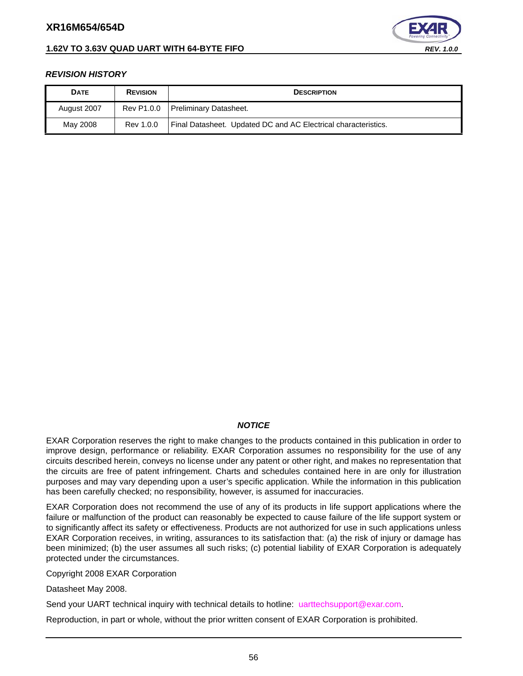#### **1.62V TO 3.63V QUAD UART WITH 64-BYTE FIFO** *REV. 1.0.0*



#### <span id="page-55-0"></span>*REVISION HISTORY*

| <b>DATE</b> | <b>REVISION</b> | <b>DESCRIPTION</b>                                             |
|-------------|-----------------|----------------------------------------------------------------|
| August 2007 | Rev P1.0.0      | Preliminary Datasheet.                                         |
| May 2008    | Rev 1.0.0       | Final Datasheet. Updated DC and AC Electrical characteristics. |

#### *NOTICE*

EXAR Corporation reserves the right to make changes to the products contained in this publication in order to improve design, performance or reliability. EXAR Corporation assumes no responsibility for the use of any circuits described herein, conveys no license under any patent or other right, and makes no representation that the circuits are free of patent infringement. Charts and schedules contained here in are only for illustration purposes and may vary depending upon a user's specific application. While the information in this publication has been carefully checked; no responsibility, however, is assumed for inaccuracies.

EXAR Corporation does not recommend the use of any of its products in life support applications where the failure or malfunction of the product can reasonably be expected to cause failure of the life support system or to significantly affect its safety or effectiveness. Products are not authorized for use in such applications unless EXAR Corporation receives, in writing, assurances to its satisfaction that: (a) the risk of injury or damage has been minimized; (b) the user assumes all such risks; (c) potential liability of EXAR Corporation is adequately protected under the circumstances.

Copyright 2008 EXAR Corporation

Datasheet May 2008.

Send your UART technical inquiry with technical details to hotline: uarttechsupport@exar.com.

Reproduction, in part or whole, without the prior written consent of EXAR Corporation is prohibited.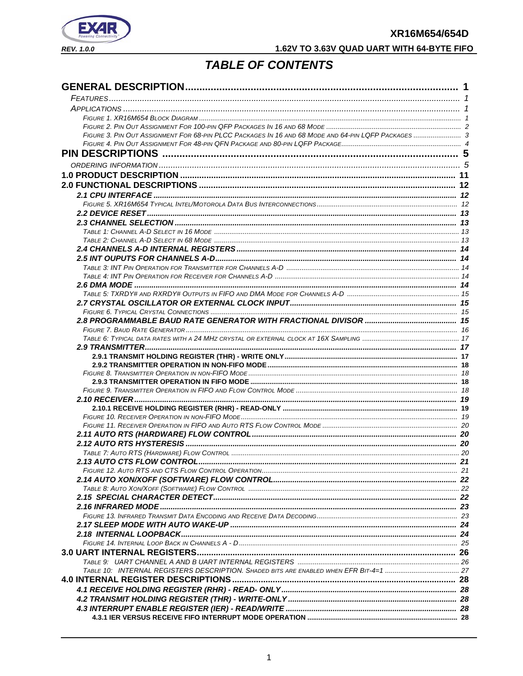

# 1.62V TO 3.63V QUAD UART WITH 64-BYTE FIFO

# **TABLE OF CONTENTS**

| FIGURE 3. PIN OUT ASSIGNMENT FOR 68-PIN PLCC PACKAGES IN 16 AND 68 MODE AND 64-PIN LQFP PACKAGES  3 |  |
|-----------------------------------------------------------------------------------------------------|--|
|                                                                                                     |  |
|                                                                                                     |  |
|                                                                                                     |  |
|                                                                                                     |  |
|                                                                                                     |  |
|                                                                                                     |  |
|                                                                                                     |  |
|                                                                                                     |  |
|                                                                                                     |  |
|                                                                                                     |  |
|                                                                                                     |  |
|                                                                                                     |  |
|                                                                                                     |  |
|                                                                                                     |  |
|                                                                                                     |  |
|                                                                                                     |  |
|                                                                                                     |  |
|                                                                                                     |  |
|                                                                                                     |  |
|                                                                                                     |  |
|                                                                                                     |  |
|                                                                                                     |  |
|                                                                                                     |  |
|                                                                                                     |  |
|                                                                                                     |  |
|                                                                                                     |  |
|                                                                                                     |  |
|                                                                                                     |  |
|                                                                                                     |  |
|                                                                                                     |  |
|                                                                                                     |  |
|                                                                                                     |  |
|                                                                                                     |  |
|                                                                                                     |  |
|                                                                                                     |  |
|                                                                                                     |  |
|                                                                                                     |  |
|                                                                                                     |  |
|                                                                                                     |  |
|                                                                                                     |  |
|                                                                                                     |  |
|                                                                                                     |  |
|                                                                                                     |  |
|                                                                                                     |  |
|                                                                                                     |  |
|                                                                                                     |  |
|                                                                                                     |  |
|                                                                                                     |  |
|                                                                                                     |  |
|                                                                                                     |  |
|                                                                                                     |  |
|                                                                                                     |  |